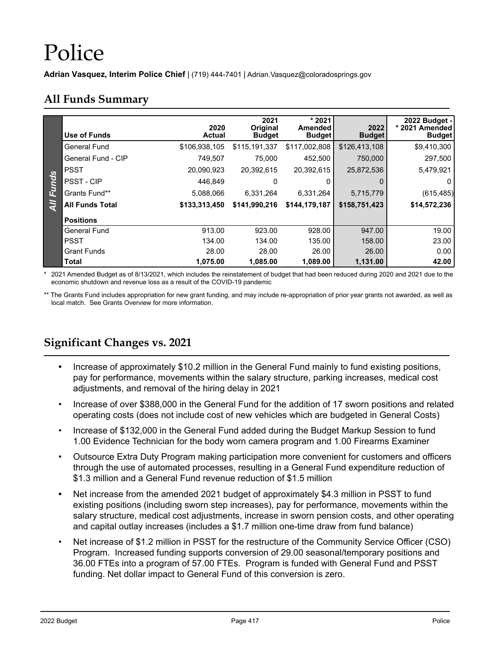# Police

**Adrian Vasquez, Interim Police Chief** | (719) 444-7401 | Adrian.Vasquez@coloradosprings.gov

#### **All Funds Summary**

|       | Use of Funds           | 2020<br><b>Actual</b> | 2021<br>Original<br><b>Budget</b> | * 2021<br>Amended<br><b>Budget</b> | 2022<br><b>Budget</b> | 2022 Budget -<br>* 2021 Amended<br><b>Budget</b> |
|-------|------------------------|-----------------------|-----------------------------------|------------------------------------|-----------------------|--------------------------------------------------|
|       | <b>General Fund</b>    | \$106,938,105         | \$115,191,337                     | \$117,002,808                      | \$126,413,108         | \$9,410,300                                      |
|       | General Fund - CIP     | 749.507               | 75,000                            | 452,500                            | 750,000               | 297,500                                          |
|       | <b>PSST</b>            | 20,090,923            | 20,392,615                        | 20,392,615                         | 25,872,536            | 5,479,921                                        |
| Funds | <b>PSST - CIP</b>      | 446.849               | 0                                 |                                    |                       | 0                                                |
|       | Grants Fund**          | 5,088,066             | 6,331,264                         | 6,331,264                          | 5,715,779             | (615, 485)                                       |
| ξ     | <b>All Funds Total</b> | \$133,313,450         | \$141,990,216                     | \$144,179,187                      | \$158,751,423         | \$14,572,236                                     |
|       | <b>Positions</b>       |                       |                                   |                                    |                       |                                                  |
|       | <b>General Fund</b>    | 913.00                | 923.00                            | 928.00                             | 947.00                | 19.00                                            |
|       | <b>PSST</b>            | 134.00                | 134.00                            | 135.00                             | 158.00                | 23.00                                            |
|       | <b>Grant Funds</b>     | 28.00                 | 28.00                             | 26.00                              | 26.00                 | 0.00                                             |
|       | <b>Total</b>           | 1,075.00              | 1,085.00                          | 1,089.00                           | 1,131.00              | 42.00                                            |

\* 2021 Amended Budget as of 8/13/2021, which includes the reinstatement of budget that had been reduced during 2020 and 2021 due to the economic shutdown and revenue loss as a result of the COVID-19 pandemic

\*\* The Grants Fund includes appropriation for new grant funding, and may include re-appropriation of prior year grants not awarded, as well as local match. See Grants Overview for more information.

## **Significant Changes vs. 2021**

- **•** Increase of approximately \$10.2 million in the General Fund mainly to fund existing positions, pay for performance, movements within the salary structure, parking increases, medical cost adjustments, and removal of the hiring delay in 2021
- Increase of over \$388,000 in the General Fund for the addition of 17 sworn positions and related operating costs (does not include cost of new vehicles which are budgeted in General Costs)
- Increase of \$132,000 in the General Fund added during the Budget Markup Session to fund 1.00 Evidence Technician for the body worn camera program and 1.00 Firearms Examiner
- Outsource Extra Duty Program making participation more convenient for customers and officers through the use of automated processes, resulting in a General Fund expenditure reduction of \$1.3 million and a General Fund revenue reduction of \$1.5 million
- **•** Net increase from the amended 2021 budget of approximately \$4.3 million in PSST to fund existing positions (including sworn step increases), pay for performance, movements within the salary structure, medical cost adjustments, increase in sworn pension costs, and other operating and capital outlay increases (includes a \$1.7 million one-time draw from fund balance)
- Net increase of \$1.2 million in PSST for the restructure of the Community Service Officer (CSO) Program. Increased funding supports conversion of 29.00 seasonal/temporary positions and 36.00 FTEs into a program of 57.00 FTEs. Program is funded with General Fund and PSST funding. Net dollar impact to General Fund of this conversion is zero.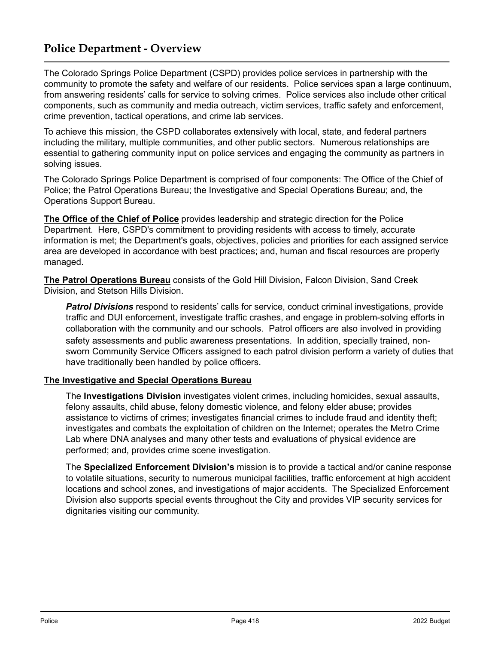## **Police Department - Overview**

The Colorado Springs Police Department (CSPD) provides police services in partnership with the community to promote the safety and welfare of our residents. Police services span a large continuum, from answering residents' calls for service to solving crimes. Police services also include other critical components, such as community and media outreach, victim services, traffic safety and enforcement, crime prevention, tactical operations, and crime lab services.

To achieve this mission, the CSPD collaborates extensively with local, state, and federal partners including the military, multiple communities, and other public sectors. Numerous relationships are essential to gathering community input on police services and engaging the community as partners in solving issues.

The Colorado Springs Police Department is comprised of four components: The Office of the Chief of Police; the Patrol Operations Bureau; the Investigative and Special Operations Bureau; and, the Operations Support Bureau.

**The Office of the Chief of Police** provides leadership and strategic direction for the Police Department. Here, CSPD's commitment to providing residents with access to timely, accurate information is met; the Department's goals, objectives, policies and priorities for each assigned service area are developed in accordance with best practices; and, human and fiscal resources are properly managed.

**The Patrol Operations Bureau** consists of the Gold Hill Division, Falcon Division, Sand Creek Division, and Stetson Hills Division.

*Patrol Divisions* respond to residents' calls for service, conduct criminal investigations, provide traffic and DUI enforcement, investigate traffic crashes, and engage in problem-solving efforts in collaboration with the community and our schools. Patrol officers are also involved in providing safety assessments and public awareness presentations. In addition, specially trained, nonsworn Community Service Officers assigned to each patrol division perform a variety of duties that have traditionally been handled by police officers.

#### **The Investigative and Special Operations Bureau**

The **Investigations Division** investigates violent crimes, including homicides, sexual assaults, felony assaults, child abuse, felony domestic violence, and felony elder abuse; provides assistance to victims of crimes; investigates financial crimes to include fraud and identity theft; investigates and combats the exploitation of children on the Internet; operates the Metro Crime Lab where DNA analyses and many other tests and evaluations of physical evidence are performed; and, provides crime scene investigation.

The **Specialized Enforcement Division's** mission is to provide a tactical and/or canine response to volatile situations, security to numerous municipal facilities, traffic enforcement at high accident locations and school zones, and investigations of major accidents. The Specialized Enforcement Division also supports special events throughout the City and provides VIP security services for dignitaries visiting our community.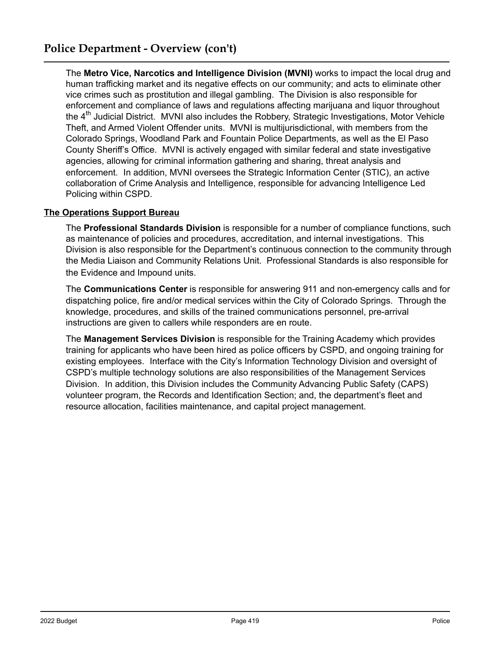The **Metro Vice, Narcotics and Intelligence Division (MVNI)** works to impact the local drug and human trafficking market and its negative effects on our community; and acts to eliminate other vice crimes such as prostitution and illegal gambling. The Division is also responsible for enforcement and compliance of laws and regulations affecting marijuana and liquor throughout the 4<sup>th</sup> Judicial District. MVNI also includes the Robbery, Strategic Investigations, Motor Vehicle Theft, and Armed Violent Offender units. MVNI is multijurisdictional, with members from the Colorado Springs, Woodland Park and Fountain Police Departments, as well as the El Paso County Sheriff's Office. MVNI is actively engaged with similar federal and state investigative agencies, allowing for criminal information gathering and sharing, threat analysis and enforcement. In addition, MVNI oversees the Strategic Information Center (STIC), an active collaboration of Crime Analysis and Intelligence, responsible for advancing Intelligence Led Policing within CSPD.

#### **The Operations Support Bureau**

The **Professional Standards Division** is responsible for a number of compliance functions, such as maintenance of policies and procedures, accreditation, and internal investigations. This Division is also responsible for the Department's continuous connection to the community through the Media Liaison and Community Relations Unit. Professional Standards is also responsible for the Evidence and Impound units.

The **Communications Center** is responsible for answering 911 and non-emergency calls and for dispatching police, fire and/or medical services within the City of Colorado Springs. Through the knowledge, procedures, and skills of the trained communications personnel, pre-arrival instructions are given to callers while responders are en route.

The **Management Services Division** is responsible for the Training Academy which provides training for applicants who have been hired as police officers by CSPD, and ongoing training for existing employees. Interface with the City's Information Technology Division and oversight of CSPD's multiple technology solutions are also responsibilities of the Management Services Division. In addition, this Division includes the Community Advancing Public Safety (CAPS) volunteer program, the Records and Identification Section; and, the department's fleet and resource allocation, facilities maintenance, and capital project management.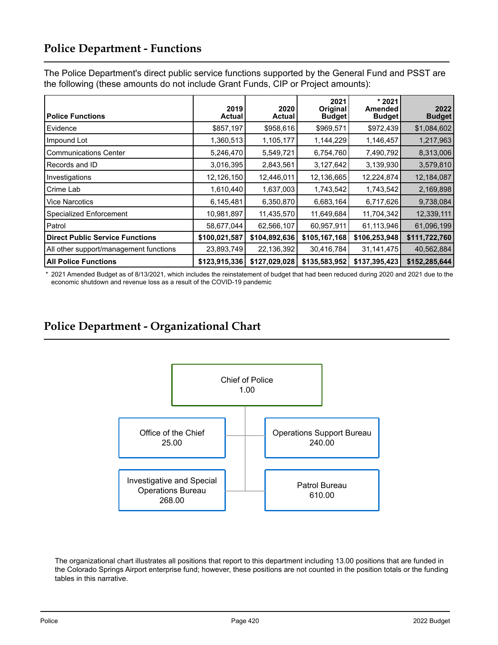## **Police Department - Functions**

The Police Department's direct public service functions supported by the General Fund and PSST are the following (these amounts do not include Grant Funds, CIP or Project amounts):

| <b>Police Functions</b>                | 2019<br><b>Actual</b> | 2020<br><b>Actual</b> | 2021<br>Original<br><b>Budget</b> | $*2021$<br>Amended<br><b>Budget</b> | 2022<br><b>Budget</b> |
|----------------------------------------|-----------------------|-----------------------|-----------------------------------|-------------------------------------|-----------------------|
| Evidence                               | \$857,197             | \$958,616             | \$969,571                         | \$972,439                           | \$1,084,602           |
| Impound Lot                            | 1,360,513             | 1,105,177             | 1,144,229                         | 1,146,457                           | 1,217,963             |
| <b>Communications Center</b>           | 5,246,470             | 5,549,721             | 6,754,760                         | 7,490,792                           | 8,313,006             |
| Records and ID                         | 3,016,395             | 2,843,561             | 3,127,642                         | 3,139,930                           | 3,579,810             |
| Investigations                         | 12,126,150            | 12,446,011            | 12,136,665                        | 12,224,874                          | 12,184,087            |
| Crime Lab                              | 1,610,440             | 1,637,003             | 1,743,542                         | 1,743,542                           | 2,169,898             |
| <b>Vice Narcotics</b>                  | 6,145,481             | 6,350,870             | 6,683,164                         | 6,717,626                           | 9,738,084             |
| <b>Specialized Enforcement</b>         | 10,981,897            | 11,435,570            | 11,649,684                        | 11,704,342                          | 12,339,111            |
| Patrol                                 | 58,677,044            | 62,566,107            | 60,957,911                        | 61,113,946                          | 61,096,199            |
| <b>Direct Public Service Functions</b> | \$100,021,587         | \$104,892,636         | \$105,167,168                     | \$106,253,948                       | \$111,722,760         |
| All other support/management functions | 23,893,749            | 22,136,392            | 30,416,784                        | 31, 141, 475                        | 40,562,884            |
| <b>All Police Functions</b>            | \$123,915,336         | \$127,029,028         | \$135,583,952                     | \$137,395,423                       | \$152,285,644         |

 \* 2021 Amended Budget as of 8/13/2021, which includes the reinstatement of budget that had been reduced during 2020 and 2021 due to the economic shutdown and revenue loss as a result of the COVID-19 pandemic

## **Police Department - Organizational Chart**



The organizational chart illustrates all positions that report to this department including 13.00 positions that are funded in the Colorado Springs Airport enterprise fund; however, these positions are not counted in the position totals or the funding tables in this narrative.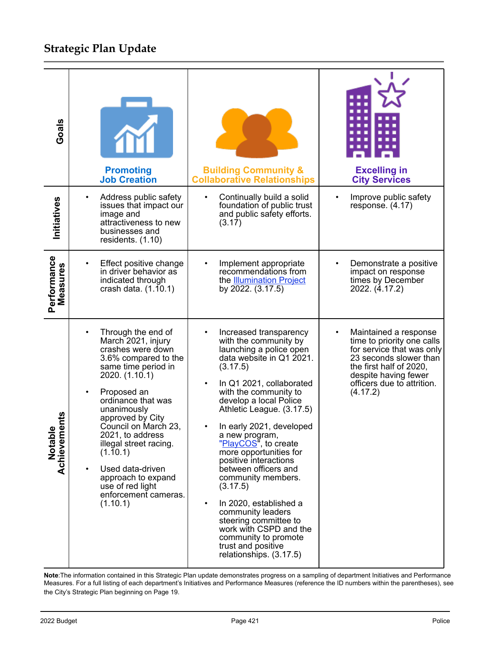# **Strategic Plan Update**

| Goals                          | <b>Promoting</b><br><b>Job Creation</b>                                                                                                                                                                                                                                                                                                                                                                 | <b>Building Community &amp;</b><br><b>Collaborative Relationships</b>                                                                                                                                                                                                                                                                                                                                                                                                                                                                                                                                          | <b>Excelling in</b><br><b>City Services</b>                                                                                                                                                                          |
|--------------------------------|---------------------------------------------------------------------------------------------------------------------------------------------------------------------------------------------------------------------------------------------------------------------------------------------------------------------------------------------------------------------------------------------------------|----------------------------------------------------------------------------------------------------------------------------------------------------------------------------------------------------------------------------------------------------------------------------------------------------------------------------------------------------------------------------------------------------------------------------------------------------------------------------------------------------------------------------------------------------------------------------------------------------------------|----------------------------------------------------------------------------------------------------------------------------------------------------------------------------------------------------------------------|
| Initiatives                    | Address public safety<br>issues that impact our<br>image and<br>attractiveness to new<br>businesses and<br>residents. (1.10)                                                                                                                                                                                                                                                                            | Continually build a solid<br>$\bullet$<br>foundation of public trust<br>and public safety efforts.<br>(3.17)                                                                                                                                                                                                                                                                                                                                                                                                                                                                                                   | Improve public safety<br>$\bullet$<br>response. (4.17)                                                                                                                                                               |
| Performance<br>Measures        | Effect positive change<br>in driver behavior as<br>indicated through<br>crash data. (1.10.1)                                                                                                                                                                                                                                                                                                            | Implement appropriate<br>٠<br>recommendations from<br>the <b>Illumination Project</b><br>by 2022. (3.17.5)                                                                                                                                                                                                                                                                                                                                                                                                                                                                                                     | Demonstrate a positive<br>$\bullet$<br>impact on response<br>times by December<br>2022. (4.17.2)                                                                                                                     |
| Ë<br>ω<br>Notable<br>Achieveme | Through the end of<br>March 2021, injury<br>crashes were down<br>3.6% compared to the<br>same time period in<br>2020. (1.10.1)<br>Proposed an<br>$\bullet$<br>ordinance that was<br>unanimously<br>approved by City<br>Council on March 23,<br>2021, to address<br>illegal street racing.<br>(1.10.1)<br>Used data-driven<br>approach to expand<br>use of red light<br>enforcement cameras.<br>(1.10.1) | Increased transparency<br>٠<br>with the community by<br>launching a police open<br>data website in Q1 2021.<br>(3.17.5)<br>In Q1 2021, collaborated<br>with the community to<br>develop a local Police<br>Athletic League. (3.17.5)<br>In early 2021, developed<br>a new program,<br>"PlayCOS", to create<br>more opportunities for<br>positive interactions<br>between officers and<br>community members.<br>(3.17.5)<br>In 2020, established a<br>$\bullet$<br>community leaders<br>steering committee to<br>work with CSPD and the<br>community to promote<br>trust and positive<br>relationships. (3.17.5) | Maintained a response<br>$\bullet$<br>time to priority one calls<br>for service that was only<br>23 seconds slower than<br>the first half of 2020,<br>despite having fewer<br>officers due to attrition.<br>(4.17.2) |

**Note**:The information contained in this Strategic Plan update demonstrates progress on a sampling of department Initiatives and Performance Measures. For a full listing of each department's Initiatives and Performance Measures (reference the ID numbers within the parentheses), see the City's Strategic Plan beginning on Page 19.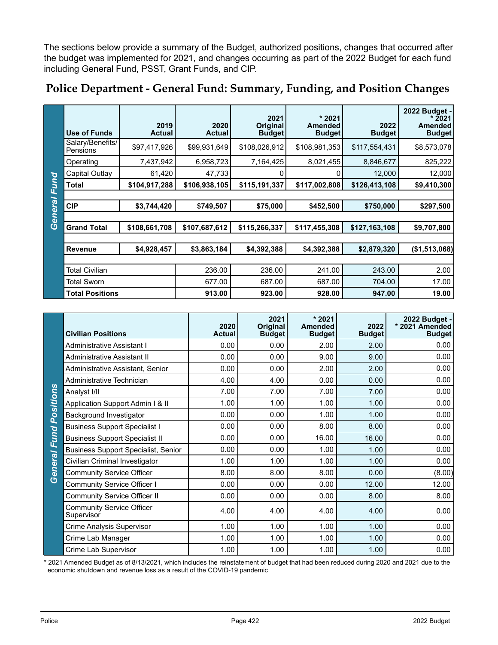The sections below provide a summary of the Budget, authorized positions, changes that occurred after the budget was implemented for 2021, and changes occurring as part of the 2022 Budget for each fund including General Fund, PSST, Grant Funds, and CIP.

|         | <b>Use of Funds</b>          | 2019<br><b>Actual</b> | 2020<br><b>Actual</b> | 2021<br>Original<br><b>Budget</b> | $*2021$<br><b>Amended</b><br><b>Budget</b> | 2022<br><b>Budget</b> | 2022 Budget -<br>* 2021<br><b>Amended</b><br><b>Budget</b> |
|---------|------------------------------|-----------------------|-----------------------|-----------------------------------|--------------------------------------------|-----------------------|------------------------------------------------------------|
|         | Salary/Benefits/<br>Pensions | \$97,417,926          | \$99,931,649          | \$108,026,912                     | \$108,981,353                              | \$117,554,431         | \$8,573,078                                                |
|         | Operating                    | 7,437,942             | 6,958,723             | 7,164,425                         | 8,021,455                                  | 8,846,677             | 825,222                                                    |
|         | Capital Outlay               | 61,420                | 47,733                | ი                                 |                                            | 12,000                | 12,000                                                     |
| Fund    | <b>Total</b>                 | \$104,917,288         | \$106,938,105         | \$115,191,337                     | \$117,002,808                              | \$126,413,108         | \$9,410,300                                                |
|         |                              |                       |                       |                                   |                                            |                       |                                                            |
| General | <b>CIP</b>                   | \$3,744,420           | \$749,507             | \$75,000                          | \$452,500                                  | \$750,000             | \$297,500                                                  |
|         |                              |                       |                       |                                   |                                            |                       |                                                            |
|         | <b>Grand Total</b>           | \$108,661,708         | \$107,687,612         | \$115,266,337                     | \$117,455,308                              | \$127,163,108         | \$9,707,800                                                |
|         |                              |                       |                       |                                   |                                            |                       |                                                            |
|         | <b>Revenue</b>               | \$4,928,457           | \$3,863,184           | \$4,392,388                       | \$4,392,388                                | \$2,879,320           | (\$1,513,068)                                              |
|         |                              |                       |                       |                                   |                                            |                       |                                                            |
|         | <b>Total Civilian</b>        |                       | 236.00                | 236.00                            | 241.00                                     | 243.00                | 2.00                                                       |
|         | <b>Total Sworn</b>           |                       | 677.00                | 687.00                            | 687.00                                     | 704.00                | 17.00                                                      |
|         | <b>Total Positions</b>       |                       | 913.00                | 923.00                            | 928.00                                     | 947.00                | 19.00                                                      |

#### **Police Department - General Fund: Summary, Funding, and Position Changes**

|           | <b>Civilian Positions</b>                      | 2020<br><b>Actual</b> | 2021<br>Original<br><b>Budget</b> | * 2021<br><b>Amended</b><br><b>Budget</b> | 2022<br><b>Budget</b> | 2022 Budget -<br>* 2021 Amended<br><b>Budget</b> |
|-----------|------------------------------------------------|-----------------------|-----------------------------------|-------------------------------------------|-----------------------|--------------------------------------------------|
|           | Administrative Assistant I                     | 0.00                  | 0.00                              | 2.00                                      | 2.00                  | 0.00                                             |
|           | Administrative Assistant II                    | 0.00                  | 0.00                              | 9.00                                      | 9.00                  | 0.00                                             |
|           | Administrative Assistant, Senior               | 0.00                  | 0.00                              | 2.00                                      | 2.00                  | 0.00                                             |
|           | Administrative Technician                      | 4.00                  | 4.00                              | 0.00                                      | 0.00                  | 0.00                                             |
|           | Analyst I/II                                   | 7.00                  | 7.00                              | 7.00                                      | 7.00                  | 0.00                                             |
| Positions | Application Support Admin I & II               | 1.00                  | 1.00                              | 1.00                                      | 1.00                  | 0.00                                             |
|           | Background Investigator                        | 0.00                  | 0.00                              | 1.00                                      | 1.00                  | 0.00                                             |
|           | <b>Business Support Specialist I</b>           | 0.00                  | 0.00                              | 8.00                                      | 8.00                  | 0.00                                             |
| Fund      | <b>Business Support Specialist II</b>          | 0.00                  | 0.00                              | 16.00                                     | 16.00                 | 0.00                                             |
|           | <b>Business Support Specialist, Senior</b>     | 0.00                  | 0.00                              | 1.00                                      | 1.00                  | 0.00                                             |
| General   | Civilian Criminal Investigator                 | 1.00                  | 1.00                              | 1.00                                      | 1.00                  | 0.00                                             |
|           | <b>Community Service Officer</b>               | 8.00                  | 8.00                              | 8.00                                      | 0.00                  | (8.00)                                           |
|           | Community Service Officer I                    | 0.00                  | 0.00                              | 0.00                                      | 12.00                 | 12.00                                            |
|           | <b>Community Service Officer II</b>            | 0.00                  | 0.00                              | 0.00                                      | 8.00                  | 8.00                                             |
|           | <b>Community Service Officer</b><br>Supervisor | 4.00                  | 4.00                              | 4.00                                      | 4.00                  | 0.00                                             |
|           | Crime Analysis Supervisor                      | 1.00                  | 1.00                              | 1.00                                      | 1.00                  | 0.00                                             |
|           | Crime Lab Manager                              | 1.00                  | 1.00                              | 1.00                                      | 1.00                  | 0.00                                             |
|           | Crime Lab Supervisor                           | 1.00                  | 1.00                              | 1.00                                      | 1.00                  | 0.00                                             |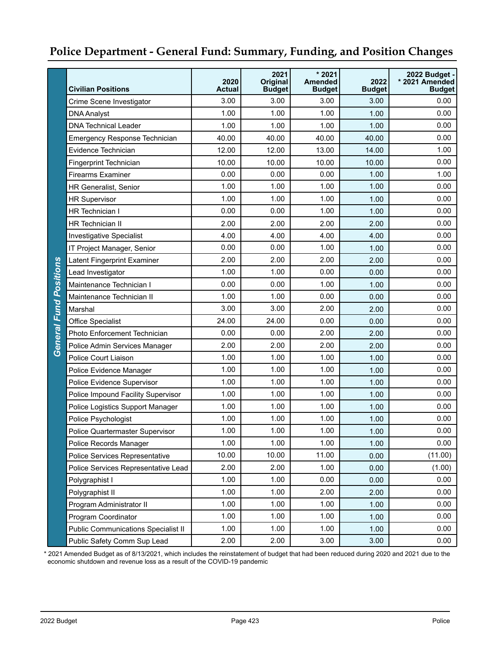|                               | <b>Civilian Positions</b>                  | 2020<br><b>Actual</b> | 2021<br><b>Original</b><br><b>Budget</b> | $*2021$<br><b>Amended</b><br><b>Budget</b> | 2022<br><b>Budget</b> | 2022 Budget -<br>* 2021 Amended<br><b>Budget</b> |
|-------------------------------|--------------------------------------------|-----------------------|------------------------------------------|--------------------------------------------|-----------------------|--------------------------------------------------|
|                               | Crime Scene Investigator                   | 3.00                  | 3.00                                     | 3.00                                       | 3.00                  | 0.00                                             |
|                               | <b>DNA Analyst</b>                         | 1.00                  | 1.00                                     | 1.00                                       | 1.00                  | 0.00                                             |
|                               | <b>DNA Technical Leader</b>                | 1.00                  | 1.00                                     | 1.00                                       | 1.00                  | 0.00                                             |
|                               | <b>Emergency Response Technician</b>       | 40.00                 | 40.00                                    | 40.00                                      | 40.00                 | 0.00                                             |
|                               | Evidence Technician                        | 12.00                 | 12.00                                    | 13.00                                      | 14.00                 | 1.00                                             |
|                               | Fingerprint Technician                     | 10.00                 | 10.00                                    | 10.00                                      | 10.00                 | 0.00                                             |
|                               | <b>Firearms Examiner</b>                   | 0.00                  | 0.00                                     | 0.00                                       | 1.00                  | 1.00                                             |
|                               | <b>HR Generalist, Senior</b>               | 1.00                  | 1.00                                     | 1.00                                       | 1.00                  | 0.00                                             |
|                               | <b>HR Supervisor</b>                       | 1.00                  | 1.00                                     | 1.00                                       | 1.00                  | 0.00                                             |
|                               | <b>HR</b> Technician I                     | 0.00                  | 0.00                                     | 1.00                                       | 1.00                  | 0.00                                             |
|                               | <b>HR Technician II</b>                    | 2.00                  | 2.00                                     | 2.00                                       | 2.00                  | 0.00                                             |
|                               | <b>Investigative Specialist</b>            | 4.00                  | 4.00                                     | 4.00                                       | 4.00                  | 0.00                                             |
|                               | IT Project Manager, Senior                 | 0.00                  | 0.00                                     | 1.00                                       | 1.00                  | 0.00                                             |
|                               | <b>Latent Fingerprint Examiner</b>         | 2.00                  | 2.00                                     | 2.00                                       | 2.00                  | 0.00                                             |
|                               | Lead Investigator                          | 1.00                  | 1.00                                     | 0.00                                       | 0.00                  | 0.00                                             |
|                               | Maintenance Technician I                   | 0.00                  | 0.00                                     | 1.00                                       | 1.00                  | 0.00                                             |
|                               | Maintenance Technician II                  | 1.00                  | 1.00                                     | 0.00                                       | 0.00                  | 0.00                                             |
|                               | Marshal                                    | 3.00                  | 3.00                                     | 2.00                                       | 2.00                  | 0.00                                             |
|                               | <b>Office Specialist</b>                   | 24.00                 | 24.00                                    | 0.00                                       | 0.00                  | 0.00                                             |
| <b>General Fund Positions</b> | Photo Enforcement Technician               | 0.00                  | 0.00                                     | 2.00                                       | 2.00                  | 0.00                                             |
|                               | Police Admin Services Manager              | 2.00                  | 2.00                                     | 2.00                                       | 2.00                  | 0.00                                             |
|                               | Police Court Liaison                       | 1.00                  | 1.00                                     | 1.00                                       | 1.00                  | 0.00                                             |
|                               | Police Evidence Manager                    | 1.00                  | 1.00                                     | 1.00                                       | 1.00                  | 0.00                                             |
|                               | Police Evidence Supervisor                 | 1.00                  | 1.00                                     | 1.00                                       | 1.00                  | 0.00                                             |
|                               | Police Impound Facility Supervisor         | 1.00                  | 1.00                                     | 1.00                                       | 1.00                  | 0.00                                             |
|                               | Police Logistics Support Manager           | 1.00                  | 1.00                                     | 1.00                                       | 1.00                  | 0.00                                             |
|                               | Police Psychologist                        | 1.00                  | 1.00                                     | 1.00                                       | 1.00                  | 0.00                                             |
|                               | Police Quartermaster Supervisor            | 1.00                  | 1.00                                     | 1.00                                       | 1.00                  | 0.00                                             |
|                               | Police Records Manager                     | 1.00                  | 1.00                                     | 1.00                                       | 1.00                  | 0.00                                             |
|                               | Police Services Representative             | 10.00                 | 10.00                                    | 11.00                                      | 0.00                  | (11.00)                                          |
|                               | Police Services Representative Lead        | 2.00                  | 2.00                                     | 1.00                                       | 0.00                  | (1.00)                                           |
|                               | Polygraphist I                             | 1.00                  | 1.00                                     | 0.00                                       | 0.00                  | 0.00                                             |
|                               | Polygraphist II                            | 1.00                  | 1.00                                     | 2.00                                       | 2.00                  | 0.00                                             |
|                               | Program Administrator II                   | 1.00                  | 1.00                                     | 1.00                                       | 1.00                  | 0.00                                             |
|                               | Program Coordinator                        | 1.00                  | 1.00                                     | 1.00                                       | 1.00                  | 0.00                                             |
|                               | <b>Public Communications Specialist II</b> | 1.00                  | 1.00                                     | 1.00                                       | 1.00                  | 0.00                                             |
|                               | Public Safety Comm Sup Lead                | 2.00                  | 2.00                                     | 3.00                                       | 3.00                  | 0.00                                             |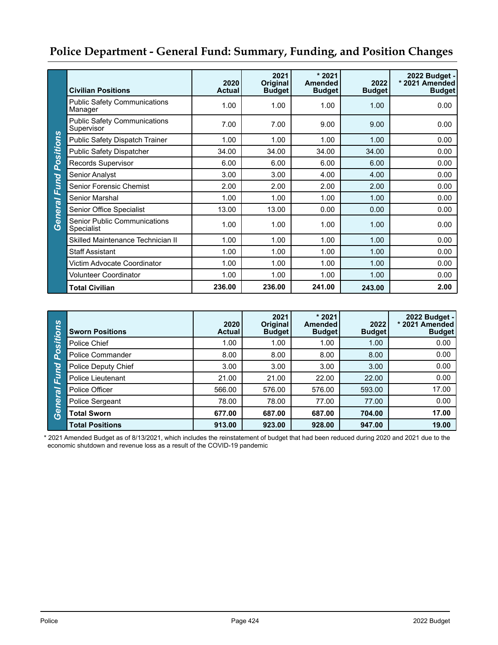|                     | <b>Civilian Positions</b>                         | 2020<br><b>Actual</b> | 2021<br>Original<br><b>Budget</b> | $*2021$<br><b>Amended</b><br><b>Budget</b> | 2022<br><b>Budget</b> | 2022 Budget -<br>* 2021 Amended<br><b>Budget</b> |
|---------------------|---------------------------------------------------|-----------------------|-----------------------------------|--------------------------------------------|-----------------------|--------------------------------------------------|
|                     | <b>Public Safety Communications</b><br>Manager    | 1.00                  | 1.00                              | 1.00                                       | 1.00                  | 0.00                                             |
|                     | <b>Public Safety Communications</b><br>Supervisor | 7.00                  | 7.00                              | 9.00                                       | 9.00                  | 0.00                                             |
|                     | Public Safety Dispatch Trainer                    | 1.00                  | 1.00                              | 1.00                                       | 1.00                  | 0.00                                             |
| Positions           | <b>Public Safety Dispatcher</b>                   | 34.00                 | 34.00                             | 34.00                                      | 34.00                 | 0.00                                             |
|                     | Records Supervisor                                | 6.00                  | 6.00                              | 6.00                                       | 6.00                  | 0.00                                             |
|                     | Senior Analyst                                    | 3.00                  | 3.00                              | 4.00                                       | 4.00                  | 0.00                                             |
|                     | Senior Forensic Chemist                           | 2.00                  | 2.00                              | 2.00                                       | 2.00                  | 0.00                                             |
|                     | Senior Marshal                                    | 1.00                  | 1.00                              | 1.00                                       | 1.00                  | 0.00                                             |
|                     | Senior Office Specialist                          | 13.00                 | 13.00                             | 0.00                                       | 0.00                  | 0.00                                             |
| <b>General Fund</b> | <b>Senior Public Communications</b><br>Specialist | 1.00                  | 1.00                              | 1.00                                       | 1.00                  | 0.00                                             |
|                     | Skilled Maintenance Technician II                 | 1.00                  | 1.00                              | 1.00                                       | 1.00                  | 0.00                                             |
|                     | <b>Staff Assistant</b>                            | 1.00                  | 1.00                              | 1.00                                       | 1.00                  | 0.00                                             |
|                     | Victim Advocate Coordinator                       | 1.00                  | 1.00                              | 1.00                                       | 1.00                  | 0.00                                             |
|                     | <b>Volunteer Coordinator</b>                      | 1.00                  | 1.00                              | 1.00                                       | 1.00                  | 0.00                                             |
|                     | <b>Total Civilian</b>                             | 236.00                | 236.00                            | 241.00                                     | 243.00                | 2.00                                             |

| Positions | <b>Sworn Positions</b>  | 2020<br><b>Actual</b> | 2021<br><b>Original</b><br><b>Budget</b> | $*2021$<br><b>Amended</b><br><b>Budget</b> | 2022<br><b>Budget</b> | 2022 Budget -<br>* 2021 Amended<br><b>Budget</b> |
|-----------|-------------------------|-----------------------|------------------------------------------|--------------------------------------------|-----------------------|--------------------------------------------------|
|           | Police Chief            | 1.00                  | 1.00                                     | 1.00                                       | 1.00                  | 0.00                                             |
|           | <b>Police Commander</b> | 8.00                  | 8.00                                     | 8.00                                       | 8.00                  | 0.00                                             |
|           | Police Deputy Chief     | 3.00                  | 3.00                                     | 3.00                                       | 3.00                  | 0.00                                             |
| Fund      | Police Lieutenant       | 21.00                 | 21.00                                    | 22.00                                      | 22.00                 | 0.00                                             |
|           | Police Officer          | 566.00                | 576.00                                   | 576.00                                     | 593.00                | 17.00                                            |
|           | Police Sergeant         | 78.00                 | 78.00                                    | 77.00                                      | 77.00                 | 0.00                                             |
| General   | <b>Total Sworn</b>      | 677.00                | 687.00                                   | 687.00                                     | 704.00                | 17.00                                            |
|           | <b>Total Positions</b>  | 913.00                | 923.00                                   | 928.00                                     | 947.00                | 19.00                                            |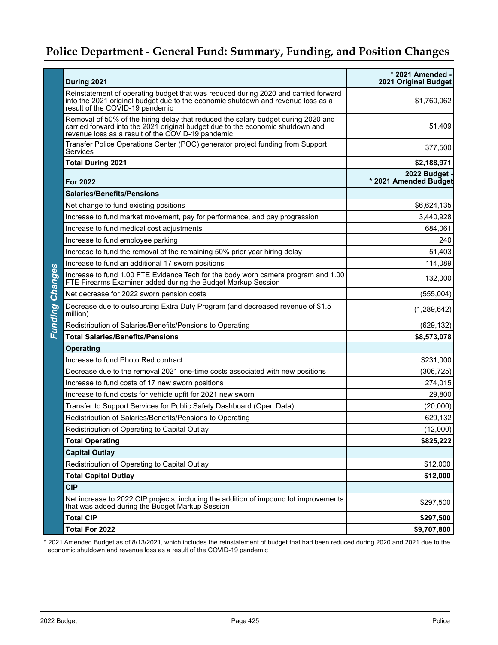|                        | During 2021                                                                                                                                                                                                              | * 2021 Amended -<br>2021 Original Budget |
|------------------------|--------------------------------------------------------------------------------------------------------------------------------------------------------------------------------------------------------------------------|------------------------------------------|
|                        | Reinstatement of operating budget that was reduced during 2020 and carried forward<br>into the 2021 original budget due to the economic shutdown and revenue loss as a<br>result of the COVID-19 pandemic                | \$1,760,062                              |
|                        | Removal of 50% of the hiring delay that reduced the salary budget during 2020 and<br>carried forward into the 2021 original budget due to the economic shutdown and<br>revenue loss as a result of the COVID-19 pandemic | 51,409                                   |
|                        | Transfer Police Operations Center (POC) generator project funding from Support<br>Services                                                                                                                               | 377,500                                  |
|                        | <b>Total During 2021</b>                                                                                                                                                                                                 | \$2,188,971                              |
|                        | <b>For 2022</b>                                                                                                                                                                                                          | 2022 Budget<br>* 2021 Amended Budget     |
|                        | <b>Salaries/Benefits/Pensions</b>                                                                                                                                                                                        |                                          |
|                        | Net change to fund existing positions                                                                                                                                                                                    | \$6,624,135                              |
|                        | Increase to fund market movement, pay for performance, and pay progression                                                                                                                                               | 3,440,928                                |
|                        | Increase to fund medical cost adjustments                                                                                                                                                                                | 684,061                                  |
|                        | Increase to fund employee parking                                                                                                                                                                                        | 240                                      |
|                        | Increase to fund the removal of the remaining 50% prior year hiring delay                                                                                                                                                | 51,403                                   |
|                        | Increase to fund an additional 17 sworn positions                                                                                                                                                                        | 114,089                                  |
|                        | Increase to fund 1.00 FTE Evidence Tech for the body worn camera program and 1.00<br>FTE Firearms Examiner added during the Budget Markup Session                                                                        | 132,000                                  |
|                        | Net decrease for 2022 sworn pension costs                                                                                                                                                                                | (555,004)                                |
| <b>Funding Changes</b> | Decrease due to outsourcing Extra Duty Program (and decreased revenue of \$1.5<br>million)                                                                                                                               | (1,289,642)                              |
|                        | Redistribution of Salaries/Benefits/Pensions to Operating                                                                                                                                                                | (629, 132)                               |
|                        | <b>Total Salaries/Benefits/Pensions</b>                                                                                                                                                                                  | \$8,573,078                              |
|                        | <b>Operating</b>                                                                                                                                                                                                         |                                          |
|                        | Increase to fund Photo Red contract                                                                                                                                                                                      | \$231,000                                |
|                        | Decrease due to the removal 2021 one-time costs associated with new positions                                                                                                                                            | (306, 725)                               |
|                        | Increase to fund costs of 17 new sworn positions                                                                                                                                                                         | 274,015                                  |
|                        | Increase to fund costs for vehicle upfit for 2021 new sworn                                                                                                                                                              | 29,800                                   |
|                        | Transfer to Support Services for Public Safety Dashboard (Open Data)                                                                                                                                                     | (20,000)                                 |
|                        | Redistribution of Salaries/Benefits/Pensions to Operating                                                                                                                                                                | 629,132                                  |
|                        | Redistribution of Operating to Capital Outlay                                                                                                                                                                            | (12,000)                                 |
|                        | <b>Total Operating</b>                                                                                                                                                                                                   | \$825,222                                |
|                        | <b>Capital Outlay</b>                                                                                                                                                                                                    |                                          |
|                        | Redistribution of Operating to Capital Outlay                                                                                                                                                                            | \$12,000                                 |
|                        | <b>Total Capital Outlay</b>                                                                                                                                                                                              | \$12,000                                 |
|                        | <b>CIP</b>                                                                                                                                                                                                               |                                          |
|                        | Net increase to 2022 CIP projects, including the addition of impound lot improvements<br>that was added during the Budget Markup Session                                                                                 | \$297,500                                |
|                        | <b>Total CIP</b>                                                                                                                                                                                                         | \$297,500                                |
|                        | Total For 2022                                                                                                                                                                                                           | \$9,707,800                              |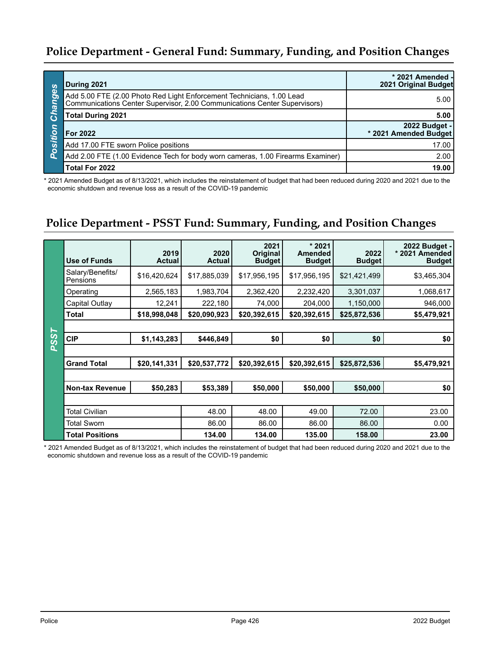| <b>S</b>    | During 2021                                                                                                                                        | * 2021 Amended -<br>2021 Original Budget |
|-------------|----------------------------------------------------------------------------------------------------------------------------------------------------|------------------------------------------|
| .<br>hange: | Add 5.00 FTE (2.00 Photo Red Light Enforcement Technicians, 1.00 Lead<br>Communications Center Supervisor, 2.00 Communications Center Supervisors) | 5.00                                     |
|             | <b>Total During 2021</b>                                                                                                                           | 5.00                                     |
| Position    | For 2022                                                                                                                                           | 2022 Budget -<br>* 2021 Amended Budget   |
|             | Add 17.00 FTE sworn Police positions                                                                                                               | 17.00                                    |
|             | Add 2.00 FTE (1.00 Evidence Tech for body worn cameras, 1.00 Firearms Examiner)                                                                    | 2.00                                     |
|             | Total For 2022                                                                                                                                     | 19.00                                    |

\* 2021 Amended Budget as of 8/13/2021, which includes the reinstatement of budget that had been reduced during 2020 and 2021 due to the economic shutdown and revenue loss as a result of the COVID-19 pandemic

## **Police Department - PSST Fund: Summary, Funding, and Position Changes**

| Use of Funds                 | 2019<br><b>Actual</b> | 2020<br><b>Actual</b> | 2021<br><b>Original</b><br><b>Budget</b> | $*2021$<br><b>Amended</b><br><b>Budget</b> | 2022<br><b>Budget</b> | 2022 Budget -<br>* 2021 Amended<br><b>Budget</b> |
|------------------------------|-----------------------|-----------------------|------------------------------------------|--------------------------------------------|-----------------------|--------------------------------------------------|
| Salary/Benefits/<br>Pensions | \$16,420,624          | \$17,885,039          | \$17,956,195                             | \$17,956,195                               | \$21,421,499          | \$3,465,304                                      |
| Operating                    | 2,565,183             | 1,983,704             | 2,362,420                                | 2,232,420                                  | 3,301,037             | 1,068,617                                        |
| Capital Outlay               | 12,241                | 222,180               | 74,000                                   | 204,000                                    | 1,150,000             | 946,000                                          |
| <b>Total</b>                 | \$18,998,048          | \$20,090,923          | \$20,392,615                             | \$20,392,615                               | \$25,872,536          | \$5,479,921                                      |
|                              |                       |                       |                                          |                                            |                       |                                                  |
| <b>PSST</b><br><b>CIP</b>    | \$1,143,283           | \$446,849             | \$0                                      | \$0                                        | \$0                   | \$0                                              |
|                              |                       |                       |                                          |                                            |                       |                                                  |
| <b>Grand Total</b>           | \$20,141,331          | \$20,537,772          | \$20,392,615                             | \$20,392,615                               | \$25,872,536          | \$5,479,921                                      |
|                              |                       |                       |                                          |                                            |                       |                                                  |
| <b>Non-tax Revenue</b>       | \$50,283              | \$53,389              | \$50,000                                 | \$50,000                                   | \$50,000              | \$0                                              |
|                              |                       |                       |                                          |                                            |                       |                                                  |
| <b>Total Civilian</b>        |                       | 48.00                 | 48.00                                    | 49.00                                      | 72.00                 | 23.00                                            |
| <b>Total Sworn</b>           |                       | 86.00                 | 86.00                                    | 86.00                                      | 86.00                 | 0.00                                             |
| <b>Total Positions</b>       |                       | 134.00                | 134.00                                   | 135.00                                     | 158.00                | 23.00                                            |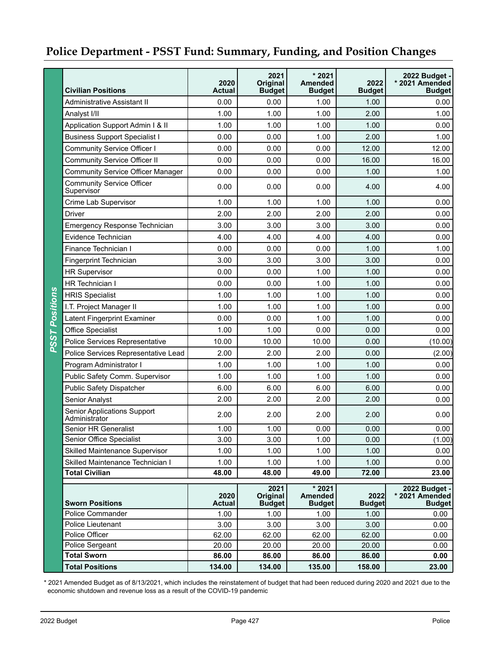|                       | <b>Civilian Positions</b>                           | 2020<br><b>Actual</b> | 2021<br><b>Original</b><br><b>Budget</b> | $*2021$<br><b>Amended</b><br><b>Budget</b> | 2022<br><b>Budget</b> | 2022 Budget -<br>* 2021 Amended<br><b>Budget</b> |
|-----------------------|-----------------------------------------------------|-----------------------|------------------------------------------|--------------------------------------------|-----------------------|--------------------------------------------------|
|                       | Administrative Assistant II                         | 0.00                  | 0.00                                     | 1.00                                       | 1.00                  | 0.00                                             |
|                       | Analyst I/II                                        | 1.00                  | 1.00                                     | 1.00                                       | 2.00                  | 1.00                                             |
|                       | Application Support Admin I & II                    | 1.00                  | 1.00                                     | 1.00                                       | 1.00                  | 0.00                                             |
|                       | <b>Business Support Specialist I</b>                | 0.00                  | 0.00                                     | 1.00                                       | 2.00                  | 1.00                                             |
|                       | <b>Community Service Officer I</b>                  | 0.00                  | 0.00                                     | 0.00                                       | 12.00                 | 12.00                                            |
|                       | <b>Community Service Officer II</b>                 | 0.00                  | 0.00                                     | 0.00                                       | 16.00                 | 16.00                                            |
|                       | <b>Community Service Officer Manager</b>            | 0.00                  | 0.00                                     | 0.00                                       | 1.00                  | 1.00                                             |
|                       | <b>Community Service Officer</b><br>Supervisor      | 0.00                  | 0.00                                     | 0.00                                       | 4.00                  | 4.00                                             |
|                       | Crime Lab Supervisor                                | 1.00                  | 1.00                                     | 1.00                                       | 1.00                  | 0.00                                             |
|                       | <b>Driver</b>                                       | 2.00                  | 2.00                                     | 2.00                                       | 2.00                  | 0.00                                             |
|                       | <b>Emergency Response Technician</b>                | 3.00                  | 3.00                                     | 3.00                                       | 3.00                  | 0.00                                             |
|                       | Evidence Technician                                 | 4.00                  | 4.00                                     | 4.00                                       | 4.00                  | 0.00                                             |
|                       | Finance Technician I                                | 0.00                  | 0.00                                     | 0.00                                       | 1.00                  | 1.00                                             |
|                       | Fingerprint Technician                              | 3.00                  | 3.00                                     | 3.00                                       | 3.00                  | 0.00                                             |
|                       | <b>HR Supervisor</b>                                | 0.00                  | 0.00                                     | 1.00                                       | 1.00                  | 0.00                                             |
|                       | HR Technician I                                     | 0.00                  | 0.00                                     | 1.00                                       | 1.00                  | 0.00                                             |
|                       | <b>HRIS Specialist</b>                              | 1.00                  | 1.00                                     | 1.00                                       | 1.00                  | 0.00                                             |
|                       | I.T. Project Manager II                             | 1.00                  | 1.00                                     | 1.00                                       | 1.00                  | 0.00                                             |
|                       | Latent Fingerprint Examiner                         | 0.00                  | 0.00                                     | 1.00                                       | 1.00                  | 0.00                                             |
| <b>PSST Positions</b> | <b>Office Specialist</b>                            | 1.00                  | 1.00                                     | 0.00                                       | 0.00                  | 0.00                                             |
|                       | Police Services Representative                      | 10.00                 | 10.00                                    | 10.00                                      | 0.00                  | (10.00)                                          |
|                       | Police Services Representative Lead                 | 2.00                  | 2.00                                     | 2.00                                       | 0.00                  | (2.00)                                           |
|                       | Program Administrator I                             | 1.00                  | 1.00                                     | 1.00                                       | 1.00                  | 0.00                                             |
|                       | Public Safety Comm. Supervisor                      | 1.00                  | 1.00                                     | 1.00                                       | 1.00                  | 0.00                                             |
|                       | <b>Public Safety Dispatcher</b>                     | 6.00                  | 6.00                                     | 6.00                                       | 6.00                  | 0.00                                             |
|                       | Senior Analyst                                      | 2.00                  | 2.00                                     | 2.00                                       | 2.00                  | 0.00                                             |
|                       | <b>Senior Applications Support</b><br>Administrator | 2.00                  | 2.00                                     | 2.00                                       | 2.00                  | 0.00                                             |
|                       | Senior HR Generalist                                | 1.00                  | 1.00                                     | 0.00                                       | 0.00                  | 0.00                                             |
|                       | Senior Office Specialist                            | 3.00                  | 3.00                                     | 1.00                                       | 0.00                  | (1.00)                                           |
|                       | Skilled Maintenance Supervisor                      | 1.00                  | 1.00                                     | 1.00                                       | 1.00                  | 0.00                                             |
|                       | Skilled Maintenance Technician I                    | 1.00                  | 1.00                                     | 1.00                                       | 1.00                  | 0.00                                             |
|                       | <b>Total Civilian</b>                               | 48.00                 | 48.00                                    | 49.00                                      | 72.00                 | 23.00                                            |
|                       | <b>Sworn Positions</b>                              | 2020<br><b>Actual</b> | 2021<br>Original<br><b>Budget</b>        | * 2021<br><b>Amended</b><br><b>Budget</b>  | 2022<br><b>Budget</b> | 2022 Budget -<br>* 2021 Amended<br><b>Budget</b> |
|                       | <b>Police Commander</b>                             | 1.00                  | 1.00                                     | 1.00                                       | 1.00                  | 0.00                                             |
|                       | Police Lieutenant                                   | 3.00                  | 3.00                                     | 3.00                                       | 3.00                  | 0.00                                             |
|                       | Police Officer                                      | 62.00                 | 62.00                                    | 62.00                                      | 62.00                 | 0.00                                             |
|                       | Police Sergeant                                     | 20.00                 | 20.00                                    | 20.00                                      | 20.00                 | 0.00                                             |
|                       | <b>Total Sworn</b>                                  | 86.00                 | 86.00                                    | 86.00                                      | 86.00                 | 0.00                                             |
|                       | <b>Total Positions</b>                              | 134.00                | 134.00                                   | 135.00                                     | 158.00                | 23.00                                            |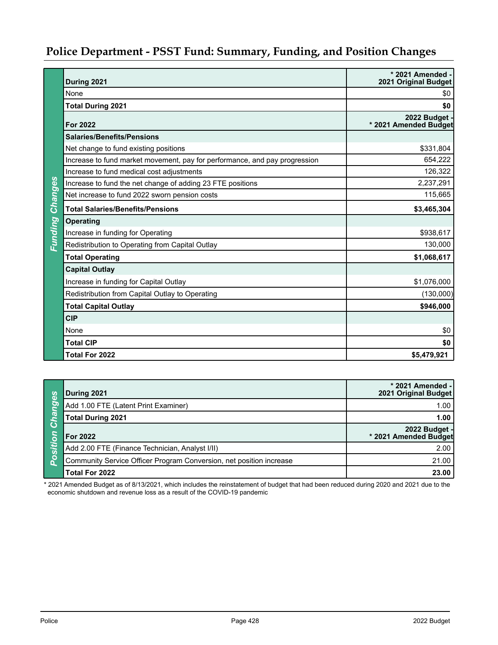|                | During 2021                                                                | * 2021 Amended -<br>2021 Original Budget |
|----------------|----------------------------------------------------------------------------|------------------------------------------|
|                | None                                                                       | \$0                                      |
|                | <b>Total During 2021</b>                                                   | \$0                                      |
|                | <b>For 2022</b>                                                            | 2022 Budget<br>* 2021 Amended Budget     |
|                | <b>Salaries/Benefits/Pensions</b>                                          |                                          |
|                | Net change to fund existing positions                                      | \$331,804                                |
|                | Increase to fund market movement, pay for performance, and pay progression | 654,222                                  |
|                | Increase to fund medical cost adjustments                                  | 126,322                                  |
|                | Increase to fund the net change of adding 23 FTE positions                 | 2,237,291                                |
|                | Net increase to fund 2022 sworn pension costs                              | 115,665                                  |
| Changes        | <b>Total Salaries/Benefits/Pensions</b>                                    | \$3,465,304                              |
| <b>Funding</b> | <b>Operating</b>                                                           |                                          |
|                | Increase in funding for Operating                                          | \$938,617                                |
|                | Redistribution to Operating from Capital Outlay                            | 130,000                                  |
|                | <b>Total Operating</b>                                                     | \$1,068,617                              |
|                | <b>Capital Outlay</b>                                                      |                                          |
|                | Increase in funding for Capital Outlay                                     | \$1,076,000                              |
|                | Redistribution from Capital Outlay to Operating                            | (130,000)                                |
|                | <b>Total Capital Outlay</b>                                                | \$946,000                                |
|                | <b>CIP</b>                                                                 |                                          |
|                | None                                                                       | \$0                                      |
|                | <b>Total CIP</b>                                                           | \$0                                      |
|                | <b>Total For 2022</b>                                                      | \$5,479,921                              |

|                           | During 2021                                                         | * 2021 Amended -<br>2021 Original Budget |
|---------------------------|---------------------------------------------------------------------|------------------------------------------|
| nges                      | Add 1.00 FTE (Latent Print Examiner)                                | 1.00                                     |
| ίeι                       | <b>Total During 2021</b>                                            | 1.00                                     |
| O<br>itiol<br><b>Dosi</b> | <b>For 2022</b>                                                     | 2022 Budget -<br>* 2021 Amended Budget   |
|                           | Add 2.00 FTE (Finance Technician, Analyst I/II)                     | 2.00                                     |
|                           | Community Service Officer Program Conversion, net position increase | 21.00                                    |
|                           | <b>Total For 2022</b>                                               | 23.00                                    |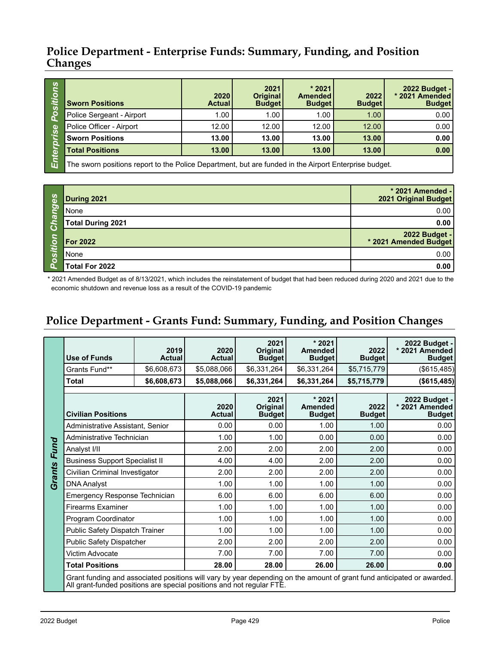| <b>S</b><br><b>Cri</b><br>SO<br>$\mathbf \omega$<br><b>i</b><br>قع | <b>Sworn Positions</b>                                                                                | 2020<br><b>Actual</b> | 2021<br>Original<br><b>Budget</b> | $*2021$<br><b>Amended</b><br><b>Budget</b> | 2022<br><b>Budget</b> | 2022 Budget -<br>* 2021 Amended<br><b>Budget</b> |  |  |
|--------------------------------------------------------------------|-------------------------------------------------------------------------------------------------------|-----------------------|-----------------------------------|--------------------------------------------|-----------------------|--------------------------------------------------|--|--|
|                                                                    | Police Sergeant - Airport                                                                             | 1.00                  | 1.00                              | 1.00                                       | 1.00                  | 0.00                                             |  |  |
|                                                                    | Police Officer - Airport                                                                              | 12.00                 | 12.00                             | 12.00                                      | 12.00                 | 0.00                                             |  |  |
|                                                                    | <b>Sworn Positions</b>                                                                                | 13.00                 | 13.00                             | 13.00                                      | 13.00                 | 0.00                                             |  |  |
|                                                                    | <b>Total Positions</b>                                                                                | 13.00                 | 13.00                             | 13.00                                      | 13.00                 | 0.00                                             |  |  |
| யி                                                                 | The sworn positions report to the Police Department, but are funded in the Airport Enterprise budget. |                       |                                   |                                            |                       |                                                  |  |  |

The sworn positions report to the Police Department, but are funded in the Airport Enterprise budget. ய்

| 89       | During 2021              | * 2021 Amended -<br>2021 Original Budget |
|----------|--------------------------|------------------------------------------|
| Ō        | None                     | 0.00                                     |
| ൹<br>Ō   | <b>Total During 2021</b> | 0.00                                     |
| $\circ$  | <b>For 2022</b>          | - 2022 Budget<br>2021 Amended Budget     |
| <b>S</b> | None                     | 0.00                                     |
| O        | Total For 2022           | 0.00                                     |

\* 2021 Amended Budget as of 8/13/2021, which includes the reinstatement of budget that had been reduced during 2020 and 2021 due to the economic shutdown and revenue loss as a result of the COVID-19 pandemic

## **Police Department - Grants Fund: Summary, Funding, and Position Changes**

|        | <b>Use of Funds</b>                                                                                                                                                                             | 2019<br><b>Actual</b> | 2020<br><b>Actual</b> | 2021<br><b>Original</b><br><b>Budget</b> | $*2021$<br><b>Amended</b><br><b>Budget</b> | 2022<br><b>Budget</b> | 2022 Budget -<br>* 2021 Amended<br><b>Budget</b> |
|--------|-------------------------------------------------------------------------------------------------------------------------------------------------------------------------------------------------|-----------------------|-----------------------|------------------------------------------|--------------------------------------------|-----------------------|--------------------------------------------------|
|        | Grants Fund**                                                                                                                                                                                   | \$6,608,673           | \$5,088,066           | \$6,331,264                              | \$6,331,264                                | \$5,715,779           | (\$615,485)                                      |
|        | <b>Total</b>                                                                                                                                                                                    | \$6,608,673           | \$5,088,066           | \$6,331,264                              | \$6,331,264                                | \$5,715,779           | ( \$615,485)                                     |
|        |                                                                                                                                                                                                 |                       |                       |                                          |                                            |                       |                                                  |
|        | <b>Civilian Positions</b>                                                                                                                                                                       |                       | 2020<br><b>Actual</b> | 2021<br>Original<br><b>Budget</b>        | $*2021$<br><b>Amended</b><br><b>Budget</b> | 2022<br><b>Budget</b> | 2022 Budget -<br>* 2021 Amended<br><b>Budget</b> |
|        | Administrative Assistant, Senior                                                                                                                                                                |                       | 0.00                  | 0.00                                     | 1.00                                       | 1.00                  | 0.00                                             |
|        | Administrative Technician                                                                                                                                                                       |                       | 1.00                  | 1.00                                     | 0.00                                       | 0.00                  | 0.00                                             |
| Fund   | Analyst I/II                                                                                                                                                                                    |                       | 2.00                  | 2.00                                     | 2.00                                       | 2.00                  | 0.00                                             |
|        | <b>Business Support Specialist II</b>                                                                                                                                                           |                       | 4.00                  | 4.00                                     | 2.00                                       | 2.00                  | 0.00                                             |
| Grants | Civilian Criminal Investigator                                                                                                                                                                  |                       | 2.00                  | 2.00                                     | 2.00                                       | 2.00                  | 0.00                                             |
|        | <b>DNA Analyst</b>                                                                                                                                                                              |                       | 1.00                  | 1.00                                     | 1.00                                       | 1.00                  | 0.00                                             |
|        | <b>Emergency Response Technician</b>                                                                                                                                                            |                       | 6.00                  | 6.00                                     | 6.00                                       | 6.00                  | 0.00                                             |
|        | <b>Firearms Examiner</b>                                                                                                                                                                        |                       | 1.00                  | 1.00                                     | 1.00                                       | 1.00                  | 0.00                                             |
|        | Program Coordinator                                                                                                                                                                             |                       | 1.00                  | 1.00                                     | 1.00                                       | 1.00                  | 0.00                                             |
|        | Public Safety Dispatch Trainer                                                                                                                                                                  |                       | 1.00                  | 1.00                                     | 1.00                                       | 1.00                  | 0.00                                             |
|        | <b>Public Safety Dispatcher</b>                                                                                                                                                                 |                       | 2.00                  | 2.00                                     | 2.00                                       | 2.00                  | 0.00                                             |
|        | Victim Advocate                                                                                                                                                                                 |                       | 7.00                  | 7.00                                     | 7.00                                       | 7.00                  | 0.00                                             |
|        | <b>Total Positions</b>                                                                                                                                                                          |                       | 28.00                 | 28.00                                    | 26.00                                      | 26.00                 | 0.00                                             |
|        | Grant funding and associated positions will vary by year depending on the amount of grant fund anticipated or awarded.<br>All grant-funded positions are special positions and not regular FTE. |                       |                       |                                          |                                            |                       |                                                  |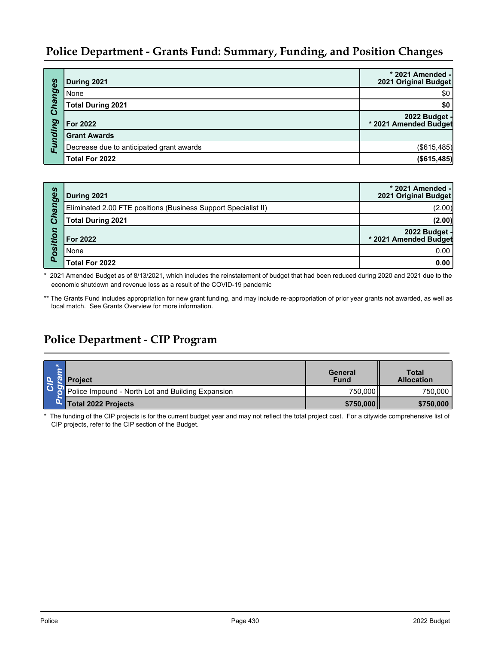| Changes | During 2021                              | * 2021 Amended -<br>2021 Original Budget |
|---------|------------------------------------------|------------------------------------------|
|         | None                                     | \$0                                      |
|         | <b>Total During 2021</b>                 | \$0                                      |
|         | For 2022                                 | 2022 Budget -<br>* 2021 Amended Budget   |
|         | <b>Grant Awards</b>                      |                                          |
| Funding | Decrease due to anticipated grant awards | (\$615,485)                              |
|         | Total For 2022                           | (\$615,485)                              |

| hanges  | During 2021                                                    | * 2021 Amended -<br>2021 Original Budget |
|---------|----------------------------------------------------------------|------------------------------------------|
|         | Eliminated 2.00 FTE positions (Business Support Specialist II) | (2.00)                                   |
| Ő       | Total During 2021                                              | (2.00)                                   |
| osition | For 2022                                                       | 2022 Budget -<br>* 2021 Amended Budget   |
|         | None                                                           | 0.00                                     |
| o.      | Total For 2022                                                 | 0.00                                     |

\* 2021 Amended Budget as of 8/13/2021, which includes the reinstatement of budget that had been reduced during 2020 and 2021 due to the economic shutdown and revenue loss as a result of the COVID-19 pandemic

\*\* The Grants Fund includes appropriation for new grant funding, and may include re-appropriation of prior year grants not awarded, as well as local match. See Grants Overview for more information.

## **Police Department - CIP Program**

| ه ا | <b>Project</b>                                    | General<br><b>Fund</b> | <b>Total</b><br><b>Allocation</b> |
|-----|---------------------------------------------------|------------------------|-----------------------------------|
| l 6 | Police Impound - North Lot and Building Expansion | 750,000                | 750,000                           |
|     | Total 2022 Projects                               | \$750,000              | \$750,000                         |

\* The funding of the CIP projects is for the current budget year and may not reflect the total project cost. For a citywide comprehensive list of CIP projects, refer to the CIP section of the Budget.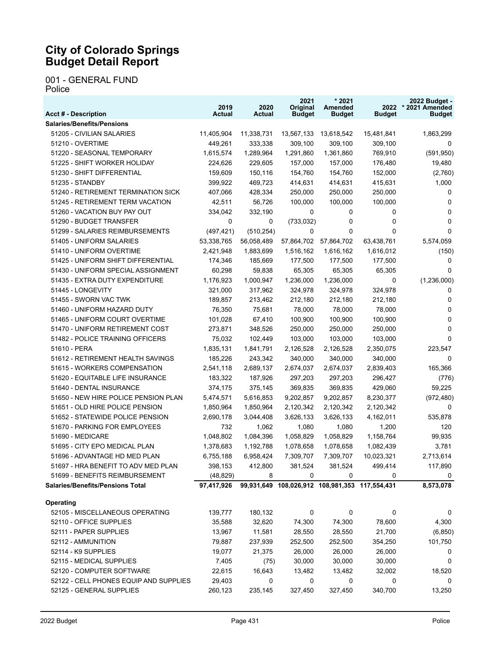#### 001 - GENERAL FUND Police

| <b>Acct # - Description</b>             | 2019<br>Actual | 2020<br>Actual | 2021<br>Original<br><b>Budget</b>              | $*2021$<br>Amended<br><b>Budget</b> | <b>Budget</b> | 2022 Budget -<br>2022 * 2021 Amended<br><b>Budget</b> |
|-----------------------------------------|----------------|----------------|------------------------------------------------|-------------------------------------|---------------|-------------------------------------------------------|
| <b>Salaries/Benefits/Pensions</b>       |                |                |                                                |                                     |               |                                                       |
| 51205 - CIVILIAN SALARIES               | 11,405,904     | 11,338,731     | 13,567,133                                     | 13,618,542                          | 15,481,841    | 1,863,299                                             |
| 51210 - OVERTIME                        | 449,261        | 333,338        | 309,100                                        | 309,100                             | 309,100       | 0                                                     |
| 51220 - SEASONAL TEMPORARY              | 1,615,574      | 1,289,964      | 1,291,860                                      | 1,361,860                           | 769,910       | (591, 950)                                            |
| 51225 - SHIFT WORKER HOLIDAY            | 224,626        | 229,605        | 157,000                                        | 157,000                             | 176,480       | 19,480                                                |
| 51230 - SHIFT DIFFERENTIAL              | 159,609        | 150,116        | 154,760                                        | 154,760                             | 152,000       | (2,760)                                               |
| 51235 - STANDBY                         | 399,922        | 469,723        | 414,631                                        | 414,631                             | 415,631       | 1,000                                                 |
| 51240 - RETIREMENT TERMINATION SICK     | 407,066        | 428,334        | 250,000                                        | 250,000                             | 250,000       | 0                                                     |
| 51245 - RETIREMENT TERM VACATION        | 42,511         | 56,726         | 100,000                                        | 100,000                             | 100,000       | 0                                                     |
| 51260 - VACATION BUY PAY OUT            | 334,042        | 332,190        | 0                                              | 0                                   | 0             | 0                                                     |
| 51290 - BUDGET TRANSFER                 | 0              | 0              | (733, 032)                                     | 0                                   | 0             | 0                                                     |
| 51299 - SALARIES REIMBURSEMENTS         | (497, 421)     | (510, 254)     | 0                                              | 0                                   | $\Omega$      | $\Omega$                                              |
| 51405 - UNIFORM SALARIES                | 53,338,765     | 56,058,489     |                                                | 57,864,702 57,864,702               | 63,438,761    | 5,574,059                                             |
| 51410 - UNIFORM OVERTIME                | 2,421,948      | 1,883,699      | 1,516,162                                      | 1,616,162                           | 1,616,012     | (150)                                                 |
| 51425 - UNIFORM SHIFT DIFFERENTIAL      | 174,346        | 185,669        | 177,500                                        | 177,500                             | 177,500       | 0                                                     |
| 51430 - UNIFORM SPECIAL ASSIGNMENT      | 60,298         | 59,838         | 65,305                                         | 65,305                              | 65,305        | 0                                                     |
| 51435 - EXTRA DUTY EXPENDITURE          | 1,176,923      | 1,000,947      | 1,236,000                                      | 1,236,000                           | 0             | (1,236,000)                                           |
| 51445 - LONGEVITY                       | 321,000        | 317,962        | 324,978                                        | 324,978                             | 324,978       | 0                                                     |
| 51455 - SWORN VAC TWK                   | 189,857        | 213,462        | 212,180                                        | 212,180                             | 212,180       | 0                                                     |
| 51460 - UNIFORM HAZARD DUTY             | 76,350         | 75,681         | 78,000                                         | 78,000                              | 78,000        | 0                                                     |
| 51465 - UNIFORM COURT OVERTIME          | 101,028        | 67,410         | 100,900                                        | 100,900                             | 100,900       | 0                                                     |
| 51470 - UNIFORM RETIREMENT COST         | 273,871        | 348,526        | 250,000                                        | 250,000                             | 250,000       | 0                                                     |
| 51482 - POLICE TRAINING OFFICERS        | 75,032         | 102,449        | 103,000                                        | 103,000                             | 103,000       | 0                                                     |
| 51610 - PERA                            | 1,835,131      | 1,841,791      | 2,126,528                                      | 2,126,528                           | 2,350,075     | 223,547                                               |
| 51612 - RETIREMENT HEALTH SAVINGS       | 185,226        | 243,342        | 340,000                                        | 340,000                             | 340,000       | 0                                                     |
| 51615 - WORKERS COMPENSATION            | 2,541,118      | 2,689,137      | 2,674,037                                      | 2,674,037                           | 2,839,403     | 165,366                                               |
| 51620 - EQUITABLE LIFE INSURANCE        | 183,322        | 187,926        | 297,203                                        | 297,203                             | 296,427       | (776)                                                 |
| 51640 - DENTAL INSURANCE                | 374,175        | 375,145        | 369,835                                        | 369,835                             | 429,060       | 59,225                                                |
| 51650 - NEW HIRE POLICE PENSION PLAN    | 5,474,571      | 5,616,853      | 9,202,857                                      | 9,202,857                           | 8,230,377     | (972, 480)                                            |
| 51651 - OLD HIRE POLICE PENSION         | 1,850,964      | 1,850,964      | 2,120,342                                      | 2,120,342                           | 2,120,342     | 0                                                     |
| 51652 - STATEWIDE POLICE PENSION        | 2,690,178      | 3,044,408      | 3,626,133                                      | 3,626,133                           | 4,162,011     | 535,878                                               |
| 51670 - PARKING FOR EMPLOYEES           | 732            | 1,062          | 1,080                                          | 1,080                               | 1,200         | 120                                                   |
| 51690 - MEDICARE                        | 1,048,802      | 1,084,396      | 1,058,829                                      | 1,058,829                           | 1,158,764     | 99,935                                                |
| 51695 - CITY EPO MEDICAL PLAN           | 1,378,683      | 1,192,788      | 1,078,658                                      | 1,078,658                           | 1,082,439     | 3,781                                                 |
| 51696 - ADVANTAGE HD MED PLAN           | 6,755,188      | 6,958,424      | 7,309,707                                      | 7,309,707                           | 10,023,321    | 2,713,614                                             |
| 51697 - HRA BENEFIT TO ADV MED PLAN     | 398,153        | 412,800        | 381,524                                        | 381,524                             | 499,414       | 117,890                                               |
| 51699 - BENEFITS REIMBURSEMENT          | (48, 829)      | 8              | 0                                              | 0                                   | 0             | 0                                                     |
| <b>Salaries/Benefits/Pensions Total</b> | 97,417,926     |                | 99,931,649 108,026,912 108,981,353 117,554,431 |                                     |               | 8,573,078                                             |
| <b>Operating</b>                        |                |                |                                                |                                     |               |                                                       |
| 52105 - MISCELLANEOUS OPERATING         | 139,777        | 180,132        | 0                                              | 0                                   | 0             | 0                                                     |
| 52110 - OFFICE SUPPLIES                 | 35,588         | 32,620         | 74,300                                         | 74,300                              | 78,600        | 4,300                                                 |
| 52111 - PAPER SUPPLIES                  | 13,967         | 11,581         | 28,550                                         | 28,550                              | 21,700        | (6, 850)                                              |
| 52112 - AMMUNITION                      | 79,887         | 237,939        | 252,500                                        | 252,500                             | 354,250       | 101,750                                               |
| 52114 - K9 SUPPLIES                     | 19,077         | 21,375         | 26,000                                         | 26,000                              | 26,000        | 0                                                     |
| 52115 - MEDICAL SUPPLIES                | 7,405          | (75)           | 30,000                                         | 30,000                              | 30,000        | 0                                                     |
| 52120 - COMPUTER SOFTWARE               | 22,615         | 16,643         | 13,482                                         | 13,482                              | 32,002        | 18,520                                                |
| 52122 - CELL PHONES EQUIP AND SUPPLIES  | 29,403         | 0              | 0                                              | 0                                   | 0             | 0                                                     |
| 52125 - GENERAL SUPPLIES                | 260,123        | 235,145        | 327,450                                        | 327,450                             | 340,700       | 13,250                                                |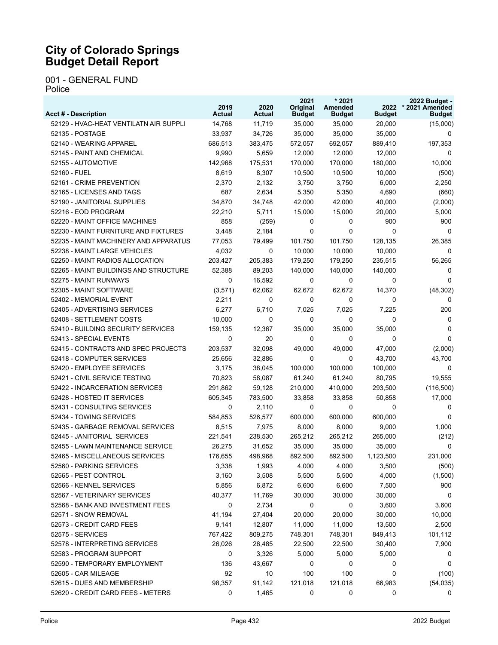001 - GENERAL FUND Police

| <b>Acct # - Description</b>            | 2019<br>Actual | 2020<br>Actual | 2021<br>Original<br><b>Budget</b> | $*2021$<br>Amended<br><b>Budget</b> | 2022<br><b>Budget</b> | 2022 Budget -<br>* 2021 Amended<br><b>Budget</b> |
|----------------------------------------|----------------|----------------|-----------------------------------|-------------------------------------|-----------------------|--------------------------------------------------|
| 52129 - HVAC-HEAT VENTILATN AIR SUPPLI | 14,768         | 11,719         | 35,000                            | 35,000                              | 20,000                | (15,000)                                         |
| 52135 - POSTAGE                        | 33,937         | 34,726         | 35,000                            | 35,000                              | 35,000                | 0                                                |
| 52140 - WEARING APPAREL                | 686,513        | 383,475        | 572,057                           | 692,057                             | 889,410               | 197,353                                          |
| 52145 - PAINT AND CHEMICAL             | 9,990          | 5,659          | 12,000                            | 12,000                              | 12,000                | 0                                                |
| 52155 - AUTOMOTIVE                     | 142,968        | 175,531        | 170,000                           | 170,000                             | 180,000               | 10,000                                           |
| 52160 - FUEL                           | 8,619          | 8,307          | 10,500                            | 10,500                              | 10,000                | (500)                                            |
| 52161 - CRIME PREVENTION               | 2,370          | 2,132          | 3,750                             | 3,750                               | 6,000                 | 2,250                                            |
| 52165 - LICENSES AND TAGS              | 687            | 2,634          | 5,350                             | 5,350                               | 4,690                 | (660)                                            |
| 52190 - JANITORIAL SUPPLIES            | 34,870         | 34,748         | 42,000                            | 42,000                              | 40,000                | (2,000)                                          |
| 52216 - EOD PROGRAM                    | 22.210         | 5,711          | 15,000                            | 15,000                              | 20,000                | 5,000                                            |
| 52220 - MAINT OFFICE MACHINES          | 858            | (259)          | 0                                 | 0                                   | 900                   | 900                                              |
| 52230 - MAINT FURNITURE AND FIXTURES   | 3,448          | 2,184          | 0                                 | $\Omega$                            | 0                     | 0                                                |
| 52235 - MAINT MACHINERY AND APPARATUS  | 77,053         | 79,499         | 101,750                           | 101,750                             | 128,135               | 26,385                                           |
| 52238 - MAINT LARGE VEHICLES           | 4,032          | 0              | 10,000                            | 10,000                              | 10,000                | 0                                                |
| 52250 - MAINT RADIOS ALLOCATION        | 203,427        | 205,383        | 179,250                           | 179,250                             | 235,515               | 56,265                                           |
| 52265 - MAINT BUILDINGS AND STRUCTURE  | 52,388         | 89,203         | 140,000                           | 140,000                             | 140,000               | 0                                                |
| 52275 - MAINT RUNWAYS                  | 0              | 16,592         | 0                                 | 0                                   | 0                     | $\Omega$                                         |
| 52305 - MAINT SOFTWARE                 | (3,571)        | 62,062         | 62,672                            | 62,672                              | 14,370                | (48, 302)                                        |
| 52402 - MEMORIAL EVENT                 | 2,211          | 0              | 0                                 | 0                                   | 0                     | 0                                                |
| 52405 - ADVERTISING SERVICES           | 6,277          | 6,710          | 7,025                             | 7,025                               | 7,225                 | 200                                              |
| 52408 - SETTLEMENT COSTS               | 10,000         | 0              | 0                                 | 0                                   | 0                     | 0                                                |
| 52410 - BUILDING SECURITY SERVICES     | 159,135        | 12,367         | 35,000                            | 35,000                              | 35,000                | 0                                                |
| 52413 - SPECIAL EVENTS                 | 0              | 20             | 0                                 | 0                                   | 0                     | $\Omega$                                         |
| 52415 - CONTRACTS AND SPEC PROJECTS    | 203,537        | 32,098         | 49,000                            | 49,000                              | 47,000                | (2,000)                                          |
| 52418 - COMPUTER SERVICES              | 25,656         | 32,886         | 0                                 | 0                                   | 43,700                | 43,700                                           |
| 52420 - EMPLOYEE SERVICES              | 3,175          | 38,045         | 100,000                           | 100,000                             | 100,000               | 0                                                |
| 52421 - CIVIL SERVICE TESTING          | 70,823         | 58,087         | 61,240                            | 61,240                              | 80,795                | 19,555                                           |
| 52422 - INCARCERATION SERVICES         | 291,862        | 59,128         | 210,000                           | 410,000                             | 293,500               | (116,500)                                        |
| 52428 - HOSTED IT SERVICES             | 605,345        | 783,500        | 33,858                            | 33,858                              | 50,858                | 17,000                                           |
| 52431 - CONSULTING SERVICES            | 0              | 2,110          | 0                                 | 0                                   | 0                     | 0                                                |
| 52434 - TOWING SERVICES                | 584,853        | 526,577        | 600,000                           | 600,000                             | 600,000               | 0                                                |
| 52435 - GARBAGE REMOVAL SERVICES       | 8,515          | 7,975          | 8,000                             | 8,000                               | 9,000                 | 1,000                                            |
| 52445 - JANITORIAL SERVICES            | 221,541        | 238,530        | 265,212                           | 265,212                             | 265,000               | (212)                                            |
| 52455 - LAWN MAINTENANCE SERVICE       | 26,275         | 31,652         | 35,000                            | 35,000                              | 35,000                | 0                                                |
| 52465 - MISCELLANEOUS SERVICES         | 176,655        | 498,968        | 892,500                           | 892,500                             | 1,123,500             | 231,000                                          |
| 52560 - PARKING SERVICES               | 3,338          | 1,993          | 4,000                             | 4,000                               | 3,500                 | (500)                                            |
| 52565 - PEST CONTROL                   | 3,160          | 3,508          | 5,500                             | 5,500                               | 4,000                 | (1,500)                                          |
| 52566 - KENNEL SERVICES                | 5,856          | 6,872          | 6,600                             | 6,600                               | 7,500                 | 900                                              |
| 52567 - VETERINARY SERVICES            | 40,377         | 11,769         | 30,000                            | 30,000                              | 30,000                | 0                                                |
| 52568 - BANK AND INVESTMENT FEES       | 0              | 2,734          | 0                                 | 0                                   | 3,600                 | 3,600                                            |
| 52571 - SNOW REMOVAL                   | 41,194         | 27,404         | 20,000                            | 20,000                              | 30,000                | 10,000                                           |
| 52573 - CREDIT CARD FEES               | 9,141          | 12,807         | 11,000                            | 11,000                              | 13,500                | 2,500                                            |
| 52575 - SERVICES                       | 767,422        | 809,275        | 748,301                           | 748,301                             | 849,413               | 101,112                                          |
| 52578 - INTERPRETING SERVICES          | 26,026         | 26,485         | 22,500                            | 22,500                              | 30,400                | 7,900                                            |
| 52583 - PROGRAM SUPPORT                | 0              | 3,326          | 5,000                             | 5,000                               | 5,000                 | 0                                                |
| 52590 - TEMPORARY EMPLOYMENT           | 136            | 43,667         | 0                                 | 0                                   | 0                     | 0                                                |
| 52605 - CAR MILEAGE                    | 92             | 10             | 100                               | 100                                 | 0                     | (100)                                            |
| 52615 - DUES AND MEMBERSHIP            | 98,357         | 91,142         | 121,018                           | 121,018                             | 66,983                | (54, 035)                                        |
| 52620 - CREDIT CARD FEES - METERS      | 0              | 1,465          | 0                                 | 0                                   | 0                     | 0                                                |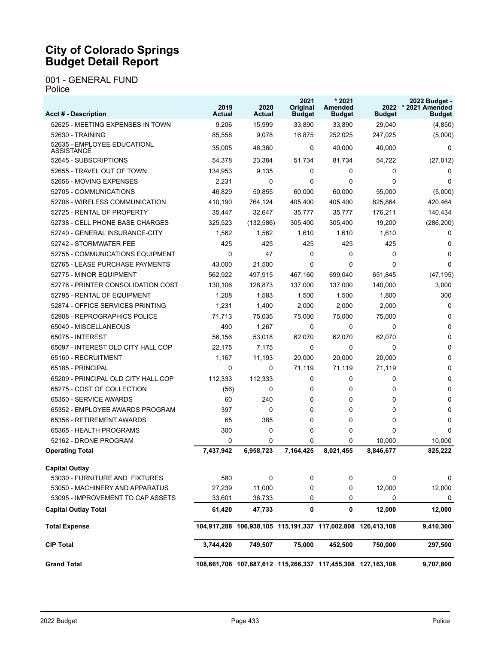#### 001 - GENERAL FUND Police

| <b>Acct # - Description</b>               | 2019<br>Actual | 2020<br>Actual | 2021<br>Original<br><b>Budget</b>                           | $*2021$<br><b>Amended</b><br><b>Budget</b> | <b>Budget</b> | 2022 Budget -<br>2022 * 2021 Amended<br><b>Budget</b> |
|-------------------------------------------|----------------|----------------|-------------------------------------------------------------|--------------------------------------------|---------------|-------------------------------------------------------|
| 52625 - MEETING EXPENSES IN TOWN          | 9,206          | 15,999         | 33,890                                                      | 33,890                                     | 29,040        | (4, 850)                                              |
| 52630 - TRAINING                          | 85,558         | 9,078          | 16,875                                                      | 252,025                                    | 247,025       | (5,000)                                               |
| 52635 - EMPLOYEE EDUCATIONL<br>ASSISTANCE | 35,005         | 46,360         | 0                                                           | 40,000                                     | 40,000        | 0                                                     |
| 52645 - SUBSCRIPTIONS                     | 54,378         | 23,384         | 51,734                                                      | 81,734                                     | 54,722        | (27, 012)                                             |
| 52655 - TRAVEL OUT OF TOWN                | 134,953        | 9,135          | 0                                                           | $\Omega$                                   | 0             | 0                                                     |
| 52656 - MOVING EXPENSES                   | 2,231          | 0              | 0                                                           | 0                                          | $\Omega$      | 0                                                     |
| 52705 - COMMUNICATIONS                    | 46,829         | 50,855         | 60.000                                                      | 60.000                                     | 55,000        | (5,000)                                               |
| 52706 - WIRELESS COMMUNICATION            | 410.190        | 764,124        | 405.400                                                     | 405.400                                    | 825,864       | 420,464                                               |
| 52725 - RENTAL OF PROPERTY                | 35,447         | 32,647         | 35,777                                                      | 35,777                                     | 176,211       | 140,434                                               |
| 52738 - CELL PHONE BASE CHARGES           | 325,523        | (132, 586)     | 305,400                                                     | 305,400                                    | 19,200        | (286, 200)                                            |
| 52740 - GENERAL INSURANCE-CITY            | 1,562          | 1,562          | 1,610                                                       | 1,610                                      | 1,610         | 0                                                     |
| 52742 - STORMWATER FEE                    | 425            | 425            | 425                                                         | 425                                        | 425           | 0                                                     |
| 52755 - COMMUNICATIONS EQUIPMENT          | $\Omega$       | 47             | 0                                                           | $\Omega$                                   | $\Omega$      | $\Omega$                                              |
| 52765 - LEASE PURCHASE PAYMENTS           | 43,000         | 21,500         | 0                                                           | 0                                          | 0             | $\Omega$                                              |
| 52775 - MINOR EQUIPMENT                   | 562.922        | 497,915        | 467,160                                                     | 699,040                                    | 651,845       | (47, 195)                                             |
| 52776 - PRINTER CONSOLIDATION COST        | 130.106        | 128,873        | 137,000                                                     | 137,000                                    | 140,000       | 3,000                                                 |
| 52795 - RENTAL OF EQUIPMENT               | 1,208          | 1,583          | 1,500                                                       | 1,500                                      | 1,800         | 300                                                   |
| 52874 - OFFICE SERVICES PRINTING          | 1,231          | 1,400          | 2,000                                                       | 2,000                                      | 2,000         | 0                                                     |
| 52908 - REPROGRAPHICS POLICE              | 71,713         | 75,035         | 75,000                                                      | 75,000                                     | 75,000        | 0                                                     |
| 65040 - MISCELLANEOUS                     | 490            | 1,267          | 0                                                           | 0                                          | 0             | 0                                                     |
| 65075 - INTEREST                          | 56,156         | 53,018         | 62,070                                                      | 62,070                                     | 62,070        | $\Omega$                                              |
| 65097 - INTEREST OLD CITY HALL COP        | 22,175         | 7,175          | 0                                                           | 0                                          | 0             | 0                                                     |
| 65160 - RECRUITMENT                       | 1,167          | 11,193         | 20,000                                                      | 20,000                                     | 20,000        | 0                                                     |
| 65185 - PRINCIPAL                         | 0              | 0              | 71,119                                                      | 71,119                                     | 71,119        | 0                                                     |
| 65209 - PRINCIPAL OLD CITY HALL COP       | 112,333        | 112,333        | 0                                                           | 0                                          | 0             | 0                                                     |
| 65275 - COST OF COLLECTION                | (56)           | 0              | 0                                                           | 0                                          | 0             | 0                                                     |
| 65350 - SERVICE AWARDS                    | 60             | 240            | 0                                                           | 0                                          | 0             | 0                                                     |
| 65352 - EMPLOYEE AWARDS PROGRAM           | 397            | 0              | 0                                                           | 0                                          | 0             | 0                                                     |
| 65356 - RETIREMENT AWARDS                 | 65             | 385            | $\Omega$                                                    | 0                                          | 0             | $\Omega$                                              |
| 65365 - HEALTH PROGRAMS                   | 300            | 0              | 0                                                           | 0                                          | 0             | 0                                                     |
| 52162 - DRONE PROGRAM                     | $\Omega$       | 0              | $\Omega$                                                    | 0                                          | 10,000        | 10,000                                                |
| <b>Operating Total</b>                    | 7,437,942      | 6,958,723      | 7,164,425                                                   | 8,021,455                                  | 8,846,677     | 825,222                                               |
| <b>Capital Outlay</b>                     |                |                |                                                             |                                            |               |                                                       |
| 53030 - FURNITURE AND FIXTURES            | 580            | 0              | 0                                                           | 0                                          | 0             | 0                                                     |
| 53050 - MACHINERY AND APPARATUS           | 27,239         | 11,000         | 0                                                           | 0                                          | 12,000        | 12,000                                                |
| 53095 - IMPROVEMENT TO CAP ASSETS         | 33,601         | 36,733         | 0                                                           | 0                                          | 0             | 0                                                     |
| <b>Capital Outlay Total</b>               | 61,420         | 47,733         | 0                                                           | 0                                          | 12,000        | 12,000                                                |
| <b>Total Expense</b>                      |                |                | 104,917,288 106,938,105 115,191,337 117,002,808 126,413,108 |                                            |               | 9,410,300                                             |
| <b>CIP Total</b>                          | 3,744,420      | 749,507        | 75,000                                                      | 452,500                                    | 750,000       | 297,500                                               |
| <b>Grand Total</b>                        |                |                | 108,661,708 107,687,612 115,266,337 117,455,308 127,163,108 |                                            |               | 9,707,800                                             |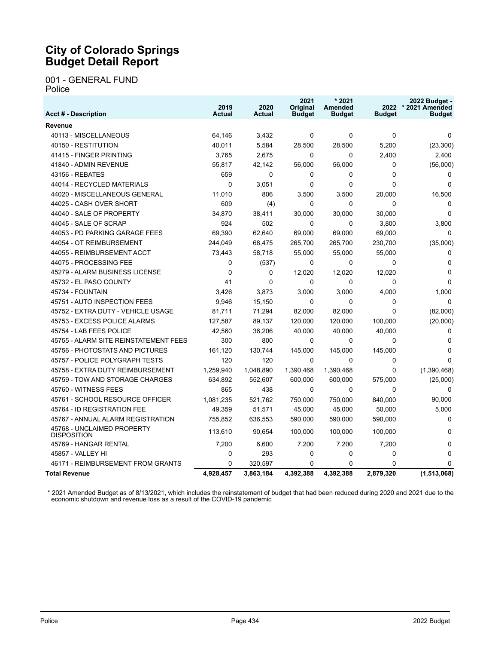#### 001 - GENERAL FUND Police

| <b>Acct # - Description</b>                      | 2019<br><b>Actual</b> | 2020<br><b>Actual</b> | 2021<br>Original<br><b>Budget</b> | $*2021$<br>Amended<br><b>Budget</b> | <b>Budget</b> | 2022 Budget -<br>2022 * 2021 Amended<br><b>Budget</b> |
|--------------------------------------------------|-----------------------|-----------------------|-----------------------------------|-------------------------------------|---------------|-------------------------------------------------------|
| Revenue                                          |                       |                       |                                   |                                     |               |                                                       |
| 40113 - MISCELLANEOUS                            | 64.146                | 3,432                 | 0                                 | $\mathbf{0}$                        | $\Omega$      | 0                                                     |
| 40150 - RESTITUTION                              | 40,011                | 5,584                 | 28,500                            | 28,500                              | 5,200         | (23, 300)                                             |
| 41415 - FINGER PRINTING                          | 3,765                 | 2,675                 | 0                                 | $\mathbf{0}$                        | 2,400         | 2,400                                                 |
| 41840 - ADMIN REVENUE                            | 55,817                | 42,142                | 56,000                            | 56,000                              | $\Omega$      | (56,000)                                              |
| 43156 - REBATES                                  | 659                   | 0                     | 0                                 | $\mathbf 0$                         | $\mathbf{0}$  | 0                                                     |
| 44014 - RECYCLED MATERIALS                       | $\Omega$              | 3,051                 | 0                                 | $\mathbf{0}$                        | $\mathbf{0}$  | $\Omega$                                              |
| 44020 - MISCELLANEOUS GENERAL                    | 11,010                | 806                   | 3.500                             | 3.500                               | 20,000        | 16,500                                                |
| 44025 - CASH OVER SHORT                          | 609                   | (4)                   | 0                                 | $\Omega$                            | $\mathbf{0}$  | $\Omega$                                              |
| 44040 - SALE OF PROPERTY                         | 34,870                | 38,411                | 30,000                            | 30,000                              | 30,000        | $\Omega$                                              |
| 44045 - SALE OF SCRAP                            | 924                   | 502                   | 0                                 | $\Omega$                            | 3,800         | 3,800                                                 |
| 44053 - PD PARKING GARAGE FEES                   | 69,390                | 62,640                | 69,000                            | 69,000                              | 69,000        | 0                                                     |
| 44054 - OT REIMBURSEMENT                         | 244,049               | 68,475                | 265,700                           | 265,700                             | 230,700       | (35,000)                                              |
| 44055 - REIMBURSEMENT ACCT                       | 73,443                | 58,718                | 55,000                            | 55,000                              | 55,000        | $\Omega$                                              |
| 44075 - PROCESSING FEE                           | $\mathbf 0$           | (537)                 | 0                                 | 0                                   | $\mathbf 0$   | 0                                                     |
| 45279 - ALARM BUSINESS LICENSE                   | $\mathbf{0}$          | 0                     | 12,020                            | 12,020                              | 12,020        | $\Omega$                                              |
| 45732 - EL PASO COUNTY                           | 41                    | 0                     | 0                                 | $\Omega$                            | $\Omega$      | $\Omega$                                              |
| 45734 - FOUNTAIN                                 | 3,426                 | 3,873                 | 3,000                             | 3,000                               | 4,000         | 1,000                                                 |
| 45751 - AUTO INSPECTION FEES                     | 9,946                 | 15,150                | 0                                 | $\mathbf{0}$                        | $\mathbf{0}$  | $\Omega$                                              |
| 45752 - EXTRA DUTY - VEHICLE USAGE               | 81,711                | 71,294                | 82,000                            | 82,000                              | 0             | (82,000)                                              |
| 45753 - EXCESS POLICE ALARMS                     | 127,587               | 89,137                | 120,000                           | 120,000                             | 100,000       | (20,000)                                              |
| 45754 - LAB FEES POLICE                          | 42,560                | 36,206                | 40,000                            | 40,000                              | 40,000        | 0                                                     |
| 45755 - ALARM SITE REINSTATEMENT FEES            | 300                   | 800                   | 0                                 | $\Omega$                            | $\mathbf{0}$  | $\Omega$                                              |
| 45756 - PHOTOSTATS AND PICTURES                  | 161,120               | 130,744               | 145,000                           | 145,000                             | 145,000       | 0                                                     |
| 45757 - POLICE POLYGRAPH TESTS                   | 120                   | 120                   | 0                                 | $\mathbf{0}$                        | $\mathbf 0$   | $\Omega$                                              |
| 45758 - EXTRA DUTY REIMBURSEMENT                 | 1,259,940             | 1,048,890             | 1,390,468                         | 1,390,468                           | $\Omega$      | (1,390,468)                                           |
| 45759 - TOW AND STORAGE CHARGES                  | 634,892               | 552,607               | 600,000                           | 600,000                             | 575,000       | (25,000)                                              |
| 45760 - WITNESS FEES                             | 865                   | 438                   | 0                                 | $\mathbf 0$                         | $\mathbf 0$   | 0                                                     |
| 45761 - SCHOOL RESOURCE OFFICER                  | 1,081,235             | 521,762               | 750.000                           | 750,000                             | 840,000       | 90,000                                                |
| 45764 - ID REGISTRATION FEE                      | 49,359                | 51,571                | 45,000                            | 45,000                              | 50,000        | 5,000                                                 |
| 45767 - ANNUAL ALARM REGISTRATION                | 755,852               | 636,553               | 590,000                           | 590,000                             | 590,000       | $\Omega$                                              |
| 45768 - UNCLAIMED PROPERTY<br><b>DISPOSITION</b> | 113,610               | 90,654                | 100,000                           | 100,000                             | 100,000       | 0                                                     |
| 45769 - HANGAR RENTAL                            | 7,200                 | 6,600                 | 7,200                             | 7,200                               | 7,200         | $\Omega$                                              |
| 45857 - VALLEY HI                                | $\mathbf 0$           | 293                   | 0                                 | $\mathbf 0$                         | 0             | $\Omega$                                              |
| 46171 - REIMBURSEMENT FROM GRANTS                | $\Omega$              | 320,597               | 0                                 | $\mathbf{0}$                        | 0             | $\Omega$                                              |
| <b>Total Revenue</b>                             | 4.928.457             | 3.863.184             | 4.392.388                         | 4.392.388                           | 2.879.320     | (1.513.068)                                           |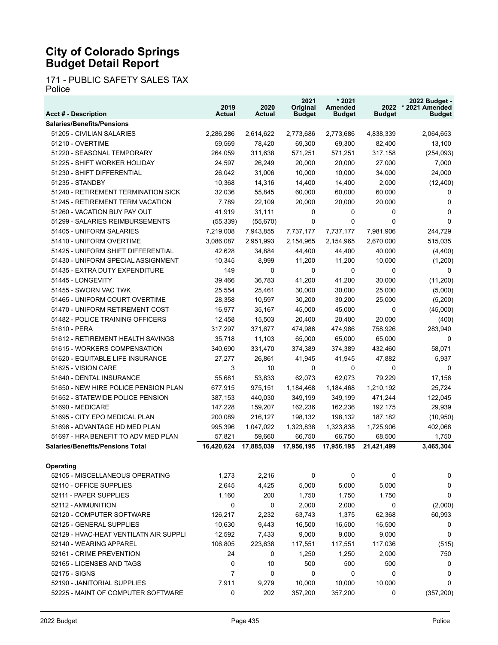171 - PUBLIC SAFETY SALES TAX Police

| <b>Acct # - Description</b>             | 2019<br>Actual | 2020<br><b>Actual</b> | 2021<br>Original<br><b>Budget</b> | $*2021$<br>Amended<br><b>Budget</b> | <b>Budget</b> | 2022 Budget -<br>2022 * 2021 Amended<br><b>Budget</b> |
|-----------------------------------------|----------------|-----------------------|-----------------------------------|-------------------------------------|---------------|-------------------------------------------------------|
| <b>Salaries/Benefits/Pensions</b>       |                |                       |                                   |                                     |               |                                                       |
| 51205 - CIVILIAN SALARIES               | 2,286,286      | 2,614,622             | 2,773,686                         | 2,773,686                           | 4,838,339     | 2,064,653                                             |
| 51210 - OVERTIME                        | 59,569         | 78,420                | 69,300                            | 69,300                              | 82,400        | 13,100                                                |
| 51220 - SEASONAL TEMPORARY              | 264,059        | 311,638               | 571,251                           | 571,251                             | 317,158       | (254, 093)                                            |
| 51225 - SHIFT WORKER HOLIDAY            | 24,597         | 26,249                | 20,000                            | 20,000                              | 27,000        | 7,000                                                 |
| 51230 - SHIFT DIFFERENTIAL              | 26,042         | 31,006                | 10,000                            | 10,000                              | 34,000        | 24,000                                                |
| 51235 - STANDBY                         | 10,368         | 14,316                | 14,400                            | 14,400                              | 2,000         | (12, 400)                                             |
| 51240 - RETIREMENT TERMINATION SICK     | 32,036         | 55,845                | 60,000                            | 60,000                              | 60,000        | 0                                                     |
| 51245 - RETIREMENT TERM VACATION        | 7,789          | 22,109                | 20,000                            | 20,000                              | 20,000        | $\Omega$                                              |
| 51260 - VACATION BUY PAY OUT            | 41,919         | 31,111                | 0                                 | 0                                   | 0             | $\Omega$                                              |
| 51299 - SALARIES REIMBURSEMENTS         | (55, 339)      | (55, 670)             | 0                                 | 0                                   | 0             | $\Omega$                                              |
| 51405 - UNIFORM SALARIES                | 7,219,008      | 7,943,855             | 7,737,177                         | 7,737,177                           | 7,981,906     | 244,729                                               |
| 51410 - UNIFORM OVERTIME                | 3,086,087      | 2,951,993             | 2,154,965                         | 2,154,965                           | 2,670,000     | 515,035                                               |
| 51425 - UNIFORM SHIFT DIFFERENTIAL      | 42,628         | 34,884                | 44,400                            | 44,400                              | 40,000        | (4,400)                                               |
| 51430 - UNIFORM SPECIAL ASSIGNMENT      | 10,345         | 8,999                 | 11,200                            | 11,200                              | 10,000        | (1,200)                                               |
| 51435 - EXTRA DUTY EXPENDITURE          | 149            | 0                     | $\Omega$                          | $\Omega$                            | $\Omega$      | $\Omega$                                              |
| 51445 - LONGEVITY                       | 39,466         | 36,783                | 41,200                            | 41,200                              | 30,000        | (11,200)                                              |
| 51455 - SWORN VAC TWK                   | 25,554         | 25,461                | 30,000                            | 30,000                              | 25,000        | (5,000)                                               |
| 51465 - UNIFORM COURT OVERTIME          | 28,358         | 10,597                | 30,200                            | 30,200                              | 25.000        | (5,200)                                               |
| 51470 - UNIFORM RETIREMENT COST         | 16,977         | 35,167                | 45,000                            | 45,000                              | 0             | (45,000)                                              |
| 51482 - POLICE TRAINING OFFICERS        | 12,458         | 15,503                | 20,400                            | 20,400                              | 20,000        | (400)                                                 |
| 51610 - PERA                            | 317,297        | 371.677               | 474,986                           | 474,986                             | 758,926       | 283,940                                               |
| 51612 - RETIREMENT HEALTH SAVINGS       | 35,718         | 11,103                | 65,000                            | 65,000                              | 65,000        | $\Omega$                                              |
| 51615 - WORKERS COMPENSATION            | 340,690        | 331,470               | 374,389                           | 374,389                             | 432,460       | 58,071                                                |
| 51620 - EQUITABLE LIFE INSURANCE        | 27,277         | 26,861                | 41,945                            | 41,945                              | 47,882        | 5,937                                                 |
| 51625 - VISION CARE                     | 3              | 10                    | 0                                 | $\Omega$                            | 0             | $\Omega$                                              |
| 51640 - DENTAL INSURANCE                | 55,681         | 53,833                | 62,073                            | 62,073                              | 79,229        | 17,156                                                |
| 51650 - NEW HIRE POLICE PENSION PLAN    | 677,915        | 975,151               | 1,184,468                         | 1,184,468                           | 1,210,192     | 25,724                                                |
| 51652 - STATEWIDE POLICE PENSION        | 387,153        | 440,030               | 349,199                           | 349,199                             | 471,244       | 122,045                                               |
| 51690 - MEDICARE                        | 147,228        | 159,207               | 162,236                           | 162,236                             | 192,175       | 29,939                                                |
| 51695 - CITY EPO MEDICAL PLAN           | 200,089        | 216,127               | 198,132                           | 198,132                             | 187,182       | (10, 950)                                             |
| 51696 - ADVANTAGE HD MED PLAN           | 995,396        | 1,047,022             | 1,323,838                         | 1,323,838                           | 1,725,906     | 402,068                                               |
| 51697 - HRA BENEFIT TO ADV MED PLAN     | 57.821         | 59,660                | 66,750                            | 66,750                              | 68,500        | 1,750                                                 |
| <b>Salaries/Benefits/Pensions Total</b> | 16,420,624     | 17,885,039            | 17,956,195                        | 17,956,195                          | 21,421,499    | 3,465,304                                             |
|                                         |                |                       |                                   |                                     |               |                                                       |
| Operating                               |                |                       |                                   |                                     |               |                                                       |
| 52105 - MISCELLANEOUS OPERATING         | 1,273          | 2,216                 | 0                                 | 0                                   | 0             | 0                                                     |
| 52110 - OFFICE SUPPLIES                 | 2,645          | 4,425                 | 5,000                             | 5,000                               | 5,000         | 0                                                     |
| 52111 - PAPER SUPPLIES                  | 1,160          | 200                   | 1,750                             | 1,750                               | 1,750         | $\Omega$                                              |
| 52112 - AMMUNITION                      | 0              | 0                     | 2,000                             | 2,000                               | 0             | (2,000)                                               |
| 52120 - COMPUTER SOFTWARE               | 126,217        | 2,232                 | 63,743                            | 1,375                               | 62,368        | 60,993                                                |
| 52125 - GENERAL SUPPLIES                | 10,630         | 9,443                 | 16,500                            | 16,500                              | 16,500        | 0                                                     |
| 52129 - HVAC-HEAT VENTILATN AIR SUPPLI  | 12,592         | 7,433                 | 9,000                             | 9,000                               | 9,000         | 0                                                     |
| 52140 - WEARING APPAREL                 | 106,805        | 223,638               | 117,551                           | 117,551                             | 117,036       | (515)                                                 |
| 52161 - CRIME PREVENTION                | 24             | 0                     | 1,250                             | 1,250                               | 2,000         | 750                                                   |
| 52165 - LICENSES AND TAGS               | 0              | 10                    | 500                               | 500                                 | 500           | 0                                                     |
| 52175 - SIGNS                           | 7              | 0                     | 0                                 | 0                                   | 0             | 0                                                     |
| 52190 - JANITORIAL SUPPLIES             | 7,911          | 9,279                 | 10,000                            | 10,000                              | 10,000        | 0                                                     |
| 52225 - MAINT OF COMPUTER SOFTWARE      | 0              | 202                   | 357,200                           | 357,200                             | 0             | (357, 200)                                            |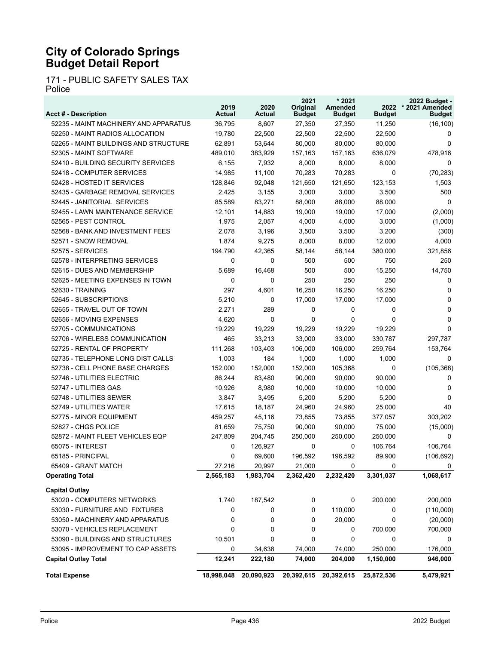171 - PUBLIC SAFETY SALES TAX Police

| <b>Acct # - Description</b>           | 2019<br>Actual | 2020<br><b>Actual</b> | 2021<br>Original<br><b>Budget</b> | * 2021<br>Amended<br><b>Budget</b> | 2022<br><b>Budget</b> | 2022 Budget -<br>* 2021 Amended<br><b>Budget</b> |
|---------------------------------------|----------------|-----------------------|-----------------------------------|------------------------------------|-----------------------|--------------------------------------------------|
| 52235 - MAINT MACHINERY AND APPARATUS | 36,795         | 8,607                 | 27,350                            | 27,350                             | 11,250                | (16, 100)                                        |
| 52250 - MAINT RADIOS ALLOCATION       | 19,780         | 22,500                | 22,500                            | 22,500                             | 22,500                | 0                                                |
| 52265 - MAINT BUILDINGS AND STRUCTURE | 62,891         | 53,644                | 80,000                            | 80,000                             | 80,000                | $\Omega$                                         |
| 52305 - MAINT SOFTWARE                | 489,010        | 383,929               | 157,163                           | 157,163                            | 636,079               | 478,916                                          |
| 52410 - BUILDING SECURITY SERVICES    | 6,155          | 7,932                 | 8,000                             | 8,000                              | 8,000                 | 0                                                |
| 52418 - COMPUTER SERVICES             | 14,985         | 11,100                | 70,283                            | 70,283                             | 0                     | (70, 283)                                        |
| 52428 - HOSTED IT SERVICES            | 128,846        | 92,048                | 121,650                           | 121,650                            | 123,153               | 1,503                                            |
| 52435 - GARBAGE REMOVAL SERVICES      | 2,425          | 3,155                 | 3,000                             | 3,000                              | 3,500                 | 500                                              |
| 52445 - JANITORIAL SERVICES           | 85,589         | 83,271                | 88,000                            | 88,000                             | 88,000                | $\Omega$                                         |
| 52455 - LAWN MAINTENANCE SERVICE      | 12,101         | 14,883                | 19,000                            | 19,000                             | 17,000                | (2,000)                                          |
| 52565 - PEST CONTROL                  | 1,975          | 2,057                 | 4,000                             | 4,000                              | 3,000                 | (1,000)                                          |
| 52568 - BANK AND INVESTMENT FEES      | 2,078          | 3,196                 | 3,500                             | 3,500                              | 3,200                 | (300)                                            |
| 52571 - SNOW REMOVAL                  | 1,874          | 9,275                 | 8,000                             | 8,000                              | 12,000                | 4,000                                            |
| 52575 - SERVICES                      | 194,790        | 42,365                | 58,144                            | 58,144                             | 380,000               | 321,856                                          |
| 52578 - INTERPRETING SERVICES         | 0              | 0                     | 500                               | 500                                | 750                   | 250                                              |
| 52615 - DUES AND MEMBERSHIP           | 5,689          | 16,468                | 500                               | 500                                | 15,250                | 14,750                                           |
| 52625 - MEETING EXPENSES IN TOWN      | 0              | $\Omega$              | 250                               | 250                                | 250                   | 0                                                |
| 52630 - TRAINING                      | 297            | 4,601                 | 16,250                            | 16,250                             | 16,250                | $\Omega$                                         |
| 52645 - SUBSCRIPTIONS                 | 5,210          | 0                     | 17,000                            | 17,000                             | 17,000                | $\Omega$                                         |
| 52655 - TRAVEL OUT OF TOWN            | 2,271          | 289                   | 0                                 | 0                                  | 0                     | $\Omega$                                         |
| 52656 - MOVING EXPENSES               | 4,620          | $\Omega$              | 0                                 | 0                                  | 0                     | $\Omega$                                         |
| 52705 - COMMUNICATIONS                | 19,229         | 19,229                | 19,229                            | 19,229                             | 19,229                | $\Omega$                                         |
| 52706 - WIRELESS COMMUNICATION        | 465            | 33,213                | 33,000                            | 33,000                             | 330,787               | 297,787                                          |
| 52725 - RENTAL OF PROPERTY            | 111,268        | 103,403               | 106,000                           | 106,000                            | 259,764               | 153,764                                          |
| 52735 - TELEPHONE LONG DIST CALLS     | 1,003          | 184                   | 1,000                             | 1,000                              | 1,000                 | $\Omega$                                         |
| 52738 - CELL PHONE BASE CHARGES       | 152,000        | 152,000               | 152,000                           | 105,368                            | 0                     | (105, 368)                                       |
| 52746 - UTILITIES ELECTRIC            | 86,244         | 83,480                | 90,000                            | 90,000                             | 90,000                | 0                                                |
| 52747 - UTILITIES GAS                 | 10,926         | 8,980                 | 10,000                            | 10,000                             | 10,000                | $\Omega$                                         |
| 52748 - UTILITIES SEWER               | 3,847          | 3,495                 | 5,200                             | 5,200                              | 5,200                 | $\Omega$                                         |
| 52749 - UTILITIES WATER               | 17,615         | 18,187                | 24,960                            | 24,960                             | 25,000                | 40                                               |
| 52775 - MINOR EQUIPMENT               | 459,257        | 45,116                | 73,855                            | 73,855                             | 377,057               | 303,202                                          |
| 52827 - CHGS POLICE                   | 81,659         | 75.750                | 90,000                            | 90,000                             | 75,000                | (15,000)                                         |
| 52872 - MAINT FLEET VEHICLES EQP      | 247,809        | 204,745               | 250,000                           | 250,000                            | 250,000               | 0                                                |
| 65075 - INTEREST                      | 0              | 126,927               | 0                                 | 0                                  | 106,764               | 106,764                                          |
| 65185 - PRINCIPAL                     | 0              | 69,600                | 196,592                           | 196,592                            | 89,900                | (106, 692)                                       |
| 65409 - GRANT MATCH                   | 27,216         | 20,997                | 21,000                            | 0                                  | 0                     | 0                                                |
| <b>Operating Total</b>                | 2,565,183      | 1,983,704             | 2,362,420                         | 2,232,420                          | 3,301,037             | 1,068,617                                        |
| <b>Capital Outlay</b>                 |                |                       |                                   |                                    |                       |                                                  |
| 53020 - COMPUTERS NETWORKS            | 1,740          | 187,542               | 0                                 | 0                                  | 200,000               | 200,000                                          |
| 53030 - FURNITURE AND FIXTURES        | 0              | 0                     | 0                                 | 110,000                            | 0                     | (110,000)                                        |
| 53050 - MACHINERY AND APPARATUS       | 0              | 0                     | 0                                 | 20,000                             | 0                     | (20,000)                                         |
| 53070 - VEHICLES REPLACEMENT          | 0              | 0                     | 0                                 | 0                                  | 700,000               | 700,000                                          |
| 53090 - BUILDINGS AND STRUCTURES      | 10,501         | 0                     | 0                                 | 0                                  | 0                     | 0                                                |
| 53095 - IMPROVEMENT TO CAP ASSETS     | 0              | 34,638                | 74,000                            | 74,000                             | 250,000               | 176,000                                          |
| <b>Capital Outlay Total</b>           | 12,241         | 222,180               | 74,000                            | 204,000                            | 1,150,000             | 946,000                                          |
| <b>Total Expense</b>                  | 18,998,048     | 20,090,923            | 20,392,615                        | 20,392,615                         | 25,872,536            | 5,479,921                                        |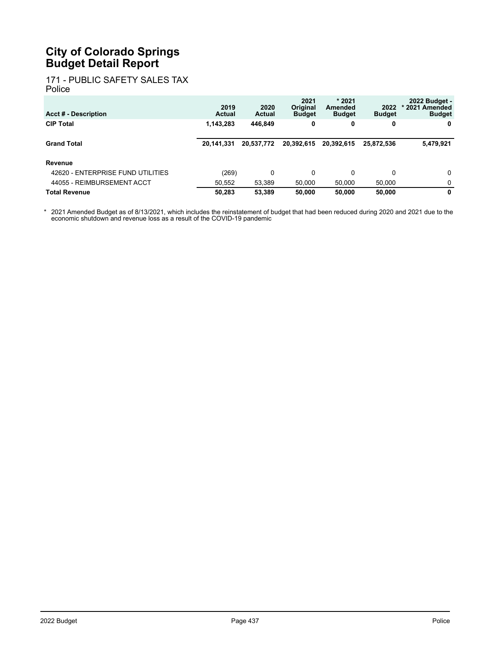#### 171 - PUBLIC SAFETY SALES TAX Police

| <b>Acct # - Description</b>       | 2019<br>Actual | 2020<br><b>Actual</b> | 2021<br>Original<br><b>Budget</b> | $*2021$<br>Amended<br><b>Budget</b> | 2022<br><b>Budget</b> | 2022 Budget -<br>* 2021 Amended<br><b>Budget</b> |
|-----------------------------------|----------------|-----------------------|-----------------------------------|-------------------------------------|-----------------------|--------------------------------------------------|
| <b>CIP Total</b>                  | 1,143,283      | 446.849               | 0                                 | 0                                   | 0                     | 0                                                |
| <b>Grand Total</b>                | 20.141.331     | 20,537,772            | 20.392.615                        | 20.392.615                          | 25.872.536            | 5,479,921                                        |
| Revenue                           |                |                       |                                   |                                     |                       |                                                  |
| 42620 - ENTERPRISE FUND UTILITIES | (269)          | 0                     | 0                                 | $\mathbf{0}$                        | 0                     | 0                                                |
| 44055 - REIMBURSEMENT ACCT        | 50.552         | 53,389                | 50,000                            | 50,000                              | 50.000                | 0                                                |
| Total Revenue                     | 50.283         | 53.389                | 50.000                            | 50.000                              | 50.000                | 0                                                |